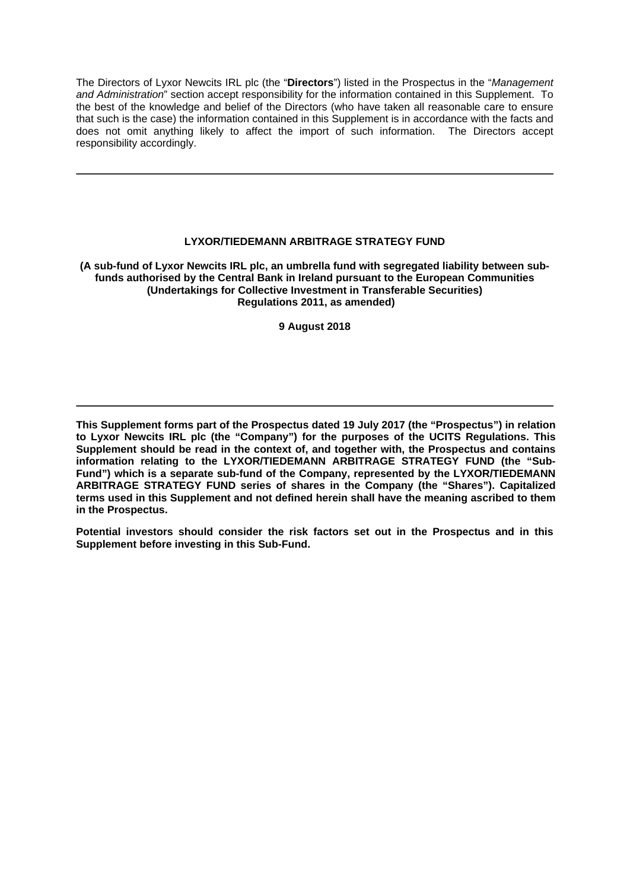The Directors of Lyxor Newcits IRL plc (the "**Directors**") listed in the Prospectus in the "*Management and Administration*" section accept responsibility for the information contained in this Supplement. To the best of the knowledge and belief of the Directors (who have taken all reasonable care to ensure that such is the case) the information contained in this Supplement is in accordance with the facts and does not omit anything likely to affect the import of such information. The Directors accept responsibility accordingly.

## **LYXOR/TIEDEMANN ARBITRAGE STRATEGY FUND**

**(A sub-fund of Lyxor Newcits IRL plc, an umbrella fund with segregated liability between subfunds authorised by the Central Bank in Ireland pursuant to the European Communities (Undertakings for Collective Investment in Transferable Securities) Regulations 2011, as amended)**

## **9 August 2018**

**This Supplement forms part of the Prospectus dated 19 July 2017 (the "Prospectus") in relation to Lyxor Newcits IRL plc (the "Company") for the purposes of the UCITS Regulations. This Supplement should be read in the context of, and together with, the Prospectus and contains information relating to the LYXOR/TIEDEMANN ARBITRAGE STRATEGY FUND (the "Sub-Fund") which is a separate sub-fund of the Company, represented by the LYXOR/TIEDEMANN ARBITRAGE STRATEGY FUND series of shares in the Company (the "Shares"). Capitalized terms used in this Supplement and not defined herein shall have the meaning ascribed to them in the Prospectus.** 

**Potential investors should consider the risk factors set out in the Prospectus and in this Supplement before investing in this Sub-Fund.**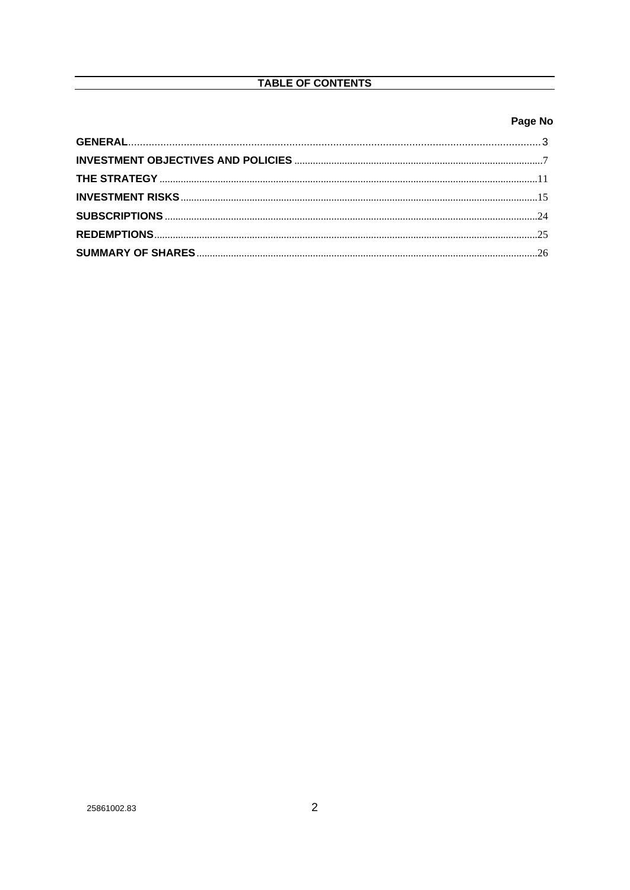# TABLE OF CONTENTS

## Page No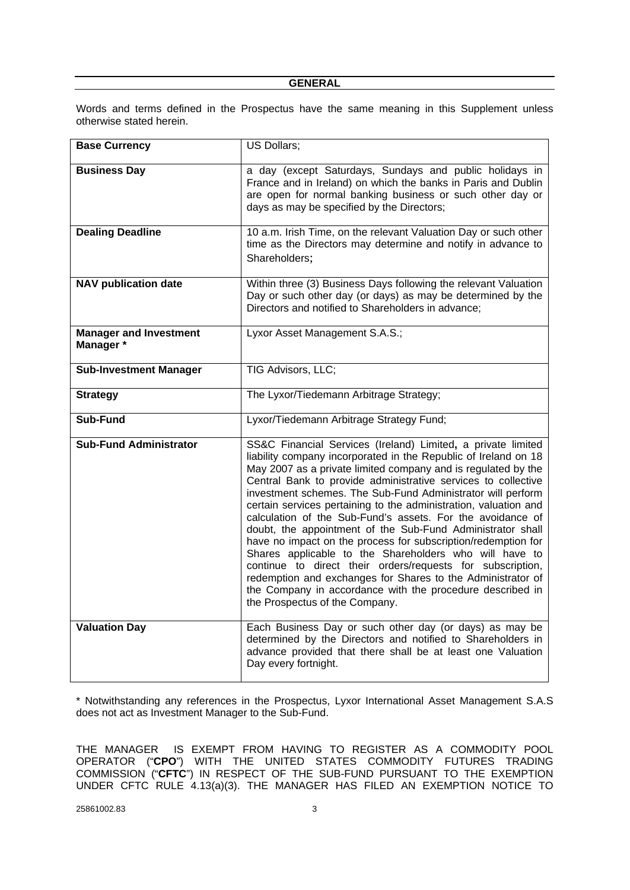Words and terms defined in the Prospectus have the same meaning in this Supplement unless otherwise stated herein.

| <b>Base Currency</b>                       | US Dollars;                                                                                                                                                                                                                                                                                                                                                                                                                                                                                                                                                                                                                                                                                                                                                                                                                                                                             |
|--------------------------------------------|-----------------------------------------------------------------------------------------------------------------------------------------------------------------------------------------------------------------------------------------------------------------------------------------------------------------------------------------------------------------------------------------------------------------------------------------------------------------------------------------------------------------------------------------------------------------------------------------------------------------------------------------------------------------------------------------------------------------------------------------------------------------------------------------------------------------------------------------------------------------------------------------|
| <b>Business Day</b>                        | a day (except Saturdays, Sundays and public holidays in<br>France and in Ireland) on which the banks in Paris and Dublin<br>are open for normal banking business or such other day or<br>days as may be specified by the Directors;                                                                                                                                                                                                                                                                                                                                                                                                                                                                                                                                                                                                                                                     |
| <b>Dealing Deadline</b>                    | 10 a.m. Irish Time, on the relevant Valuation Day or such other<br>time as the Directors may determine and notify in advance to<br>Shareholders;                                                                                                                                                                                                                                                                                                                                                                                                                                                                                                                                                                                                                                                                                                                                        |
| <b>NAV publication date</b>                | Within three (3) Business Days following the relevant Valuation<br>Day or such other day (or days) as may be determined by the<br>Directors and notified to Shareholders in advance;                                                                                                                                                                                                                                                                                                                                                                                                                                                                                                                                                                                                                                                                                                    |
| <b>Manager and Investment</b><br>Manager * | Lyxor Asset Management S.A.S.;                                                                                                                                                                                                                                                                                                                                                                                                                                                                                                                                                                                                                                                                                                                                                                                                                                                          |
| <b>Sub-Investment Manager</b>              | TIG Advisors, LLC;                                                                                                                                                                                                                                                                                                                                                                                                                                                                                                                                                                                                                                                                                                                                                                                                                                                                      |
| <b>Strategy</b>                            | The Lyxor/Tiedemann Arbitrage Strategy;                                                                                                                                                                                                                                                                                                                                                                                                                                                                                                                                                                                                                                                                                                                                                                                                                                                 |
| Sub-Fund                                   | Lyxor/Tiedemann Arbitrage Strategy Fund;                                                                                                                                                                                                                                                                                                                                                                                                                                                                                                                                                                                                                                                                                                                                                                                                                                                |
| <b>Sub-Fund Administrator</b>              | SS&C Financial Services (Ireland) Limited, a private limited<br>liability company incorporated in the Republic of Ireland on 18<br>May 2007 as a private limited company and is regulated by the<br>Central Bank to provide administrative services to collective<br>investment schemes. The Sub-Fund Administrator will perform<br>certain services pertaining to the administration, valuation and<br>calculation of the Sub-Fund's assets. For the avoidance of<br>doubt, the appointment of the Sub-Fund Administrator shall<br>have no impact on the process for subscription/redemption for<br>Shares applicable to the Shareholders who will have to<br>continue to direct their orders/requests for subscription,<br>redemption and exchanges for Shares to the Administrator of<br>the Company in accordance with the procedure described in<br>the Prospectus of the Company. |
| <b>Valuation Day</b>                       | Each Business Day or such other day (or days) as may be<br>determined by the Directors and notified to Shareholders in<br>advance provided that there shall be at least one Valuation<br>Day every fortnight.                                                                                                                                                                                                                                                                                                                                                                                                                                                                                                                                                                                                                                                                           |

\* Notwithstanding any references in the Prospectus, Lyxor International Asset Management S.A.S does not act as Investment Manager to the Sub-Fund.

THE MANAGER IS EXEMPT FROM HAVING TO REGISTER AS A COMMODITY POOL OPERATOR ("**CPO**") WITH THE UNITED STATES COMMODITY FUTURES TRADING COMMISSION ("**CFTC**") IN RESPECT OF THE SUB-FUND PURSUANT TO THE EXEMPTION UNDER CFTC RULE 4.13(a)(3). THE MANAGER HAS FILED AN EXEMPTION NOTICE TO

25861002.83 3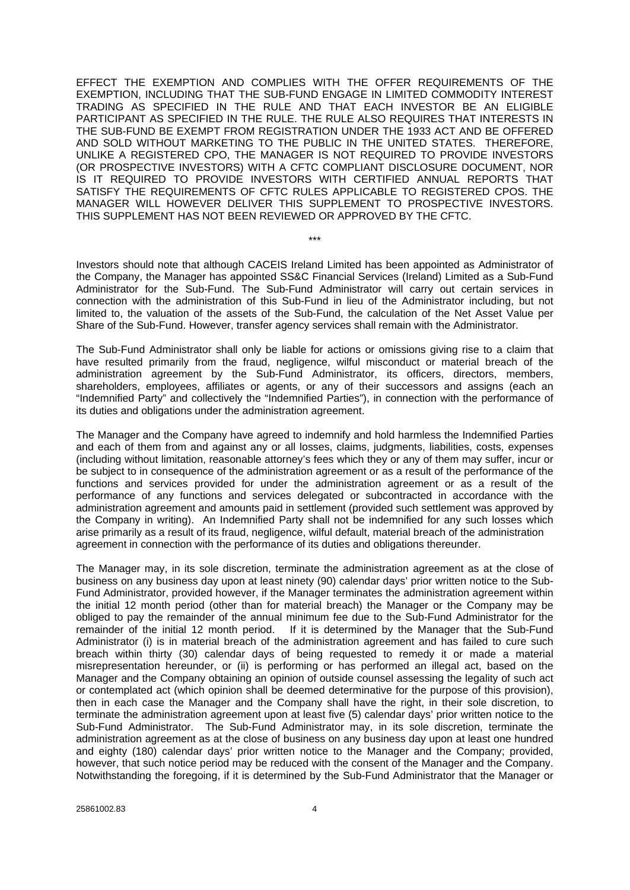EFFECT THE EXEMPTION AND COMPLIES WITH THE OFFER REQUIREMENTS OF THE EXEMPTION, INCLUDING THAT THE SUB-FUND ENGAGE IN LIMITED COMMODITY INTEREST TRADING AS SPECIFIED IN THE RULE AND THAT EACH INVESTOR BE AN ELIGIBLE PARTICIPANT AS SPECIFIED IN THE RULE. THE RULE ALSO REQUIRES THAT INTERESTS IN THE SUB-FUND BE EXEMPT FROM REGISTRATION UNDER THE 1933 ACT AND BE OFFERED AND SOLD WITHOUT MARKETING TO THE PUBLIC IN THE UNITED STATES. THEREFORE, UNLIKE A REGISTERED CPO, THE MANAGER IS NOT REQUIRED TO PROVIDE INVESTORS (OR PROSPECTIVE INVESTORS) WITH A CFTC COMPLIANT DISCLOSURE DOCUMENT, NOR IS IT REQUIRED TO PROVIDE INVESTORS WITH CERTIFIED ANNUAL REPORTS THAT SATISFY THE REQUIREMENTS OF CFTC RULES APPLICABLE TO REGISTERED CPOS. THE MANAGER WILL HOWEVER DELIVER THIS SUPPLEMENT TO PROSPECTIVE INVESTORS. THIS SUPPLEMENT HAS NOT BEEN REVIEWED OR APPROVED BY THE CFTC.

Investors should note that although CACEIS Ireland Limited has been appointed as Administrator of the Company, the Manager has appointed SS&C Financial Services (Ireland) Limited as a Sub-Fund Administrator for the Sub-Fund. The Sub-Fund Administrator will carry out certain services in connection with the administration of this Sub-Fund in lieu of the Administrator including, but not limited to, the valuation of the assets of the Sub-Fund, the calculation of the Net Asset Value per Share of the Sub-Fund. However, transfer agency services shall remain with the Administrator.

\*\*\*

The Sub-Fund Administrator shall only be liable for actions or omissions giving rise to a claim that have resulted primarily from the fraud, negligence, wilful misconduct or material breach of the administration agreement by the Sub-Fund Administrator, its officers, directors, members, shareholders, employees, affiliates or agents, or any of their successors and assigns (each an "Indemnified Party" and collectively the "Indemnified Parties"), in connection with the performance of its duties and obligations under the administration agreement.

The Manager and the Company have agreed to indemnify and hold harmless the Indemnified Parties and each of them from and against any or all losses, claims, judgments, liabilities, costs, expenses (including without limitation, reasonable attorney's fees which they or any of them may suffer, incur or be subject to in consequence of the administration agreement or as a result of the performance of the functions and services provided for under the administration agreement or as a result of the performance of any functions and services delegated or subcontracted in accordance with the administration agreement and amounts paid in settlement (provided such settlement was approved by the Company in writing). An Indemnified Party shall not be indemnified for any such losses which arise primarily as a result of its fraud, negligence, wilful default, material breach of the administration agreement in connection with the performance of its duties and obligations thereunder.

The Manager may, in its sole discretion, terminate the administration agreement as at the close of business on any business day upon at least ninety (90) calendar days' prior written notice to the Sub-Fund Administrator, provided however, if the Manager terminates the administration agreement within the initial 12 month period (other than for material breach) the Manager or the Company may be obliged to pay the remainder of the annual minimum fee due to the Sub-Fund Administrator for the remainder of the initial 12 month period. If it is determined by the Manager that the Sub-Fund Administrator (i) is in material breach of the administration agreement and has failed to cure such breach within thirty (30) calendar days of being requested to remedy it or made a material misrepresentation hereunder, or (ii) is performing or has performed an illegal act, based on the Manager and the Company obtaining an opinion of outside counsel assessing the legality of such act or contemplated act (which opinion shall be deemed determinative for the purpose of this provision), then in each case the Manager and the Company shall have the right, in their sole discretion, to terminate the administration agreement upon at least five (5) calendar days' prior written notice to the Sub-Fund Administrator. The Sub-Fund Administrator may, in its sole discretion, terminate the administration agreement as at the close of business on any business day upon at least one hundred and eighty (180) calendar days' prior written notice to the Manager and the Company; provided, however, that such notice period may be reduced with the consent of the Manager and the Company. Notwithstanding the foregoing, if it is determined by the Sub-Fund Administrator that the Manager or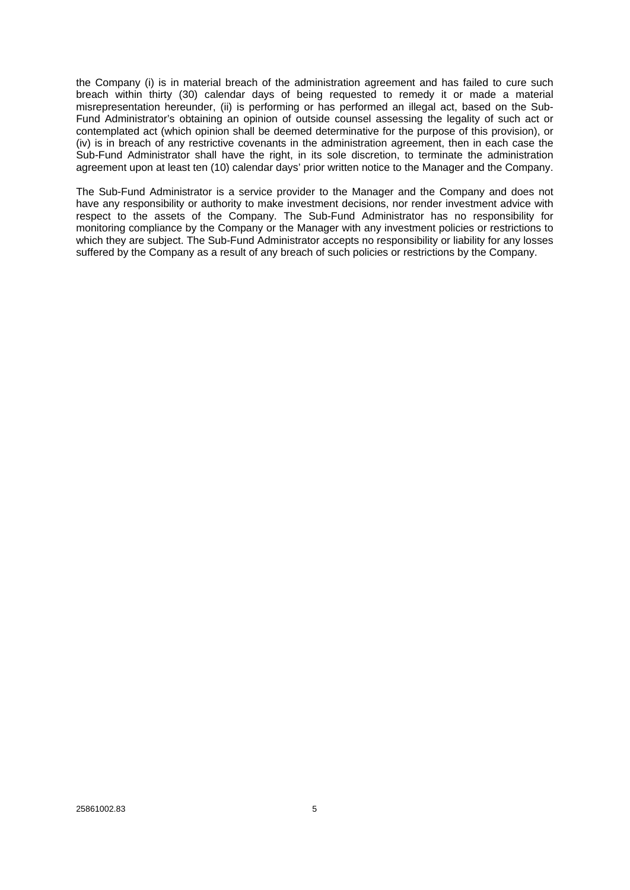the Company (i) is in material breach of the administration agreement and has failed to cure such breach within thirty (30) calendar days of being requested to remedy it or made a material misrepresentation hereunder, (ii) is performing or has performed an illegal act, based on the Sub-Fund Administrator's obtaining an opinion of outside counsel assessing the legality of such act or contemplated act (which opinion shall be deemed determinative for the purpose of this provision), or (iv) is in breach of any restrictive covenants in the administration agreement, then in each case the Sub-Fund Administrator shall have the right, in its sole discretion, to terminate the administration agreement upon at least ten (10) calendar days' prior written notice to the Manager and the Company.

The Sub-Fund Administrator is a service provider to the Manager and the Company and does not have any responsibility or authority to make investment decisions, nor render investment advice with respect to the assets of the Company. The Sub-Fund Administrator has no responsibility for monitoring compliance by the Company or the Manager with any investment policies or restrictions to which they are subject. The Sub-Fund Administrator accepts no responsibility or liability for any losses suffered by the Company as a result of any breach of such policies or restrictions by the Company.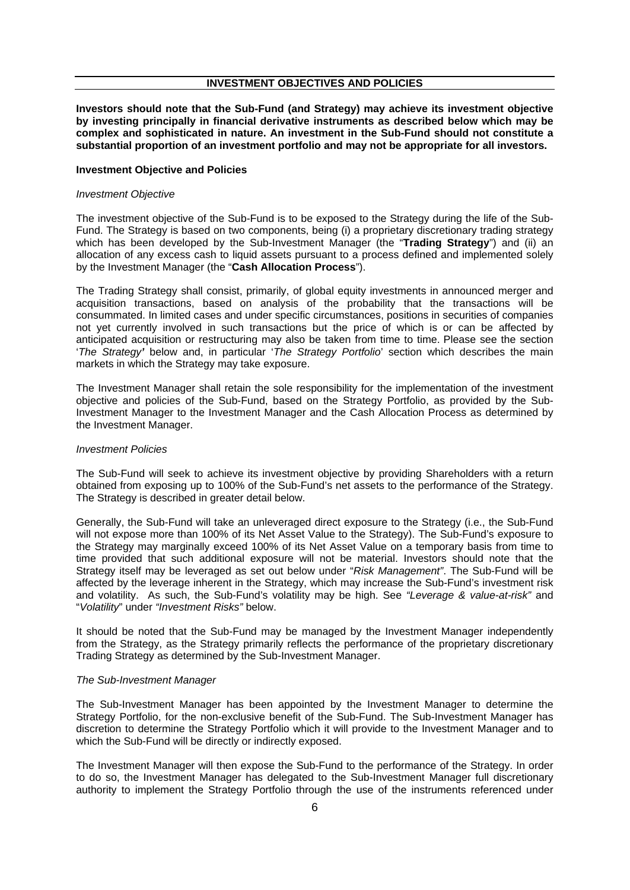#### **INVESTMENT OBJECTIVES AND POLICIES**

**Investors should note that the Sub-Fund (and Strategy) may achieve its investment objective by investing principally in financial derivative instruments as described below which may be complex and sophisticated in nature. An investment in the Sub-Fund should not constitute a substantial proportion of an investment portfolio and may not be appropriate for all investors.**

#### **Investment Objective and Policies**

#### *Investment Objective*

The investment objective of the Sub-Fund is to be exposed to the Strategy during the life of the Sub-Fund. The Strategy is based on two components, being (i) a proprietary discretionary trading strategy which has been developed by the Sub-Investment Manager (the "**Trading Strategy**") and (ii) an allocation of any excess cash to liquid assets pursuant to a process defined and implemented solely by the Investment Manager (the "**Cash Allocation Process**").

The Trading Strategy shall consist, primarily, of global equity investments in announced merger and acquisition transactions, based on analysis of the probability that the transactions will be consummated. In limited cases and under specific circumstances, positions in securities of companies not yet currently involved in such transactions but the price of which is or can be affected by anticipated acquisition or restructuring may also be taken from time to time. Please see the section '*The Strategy'* below and, in particular '*The Strategy Portfolio*' section which describes the main markets in which the Strategy may take exposure.

The Investment Manager shall retain the sole responsibility for the implementation of the investment objective and policies of the Sub-Fund, based on the Strategy Portfolio, as provided by the Sub-Investment Manager to the Investment Manager and the Cash Allocation Process as determined by the Investment Manager.

#### *Investment Policies*

The Sub-Fund will seek to achieve its investment objective by providing Shareholders with a return obtained from exposing up to 100% of the Sub-Fund's net assets to the performance of the Strategy. The Strategy is described in greater detail below.

Generally, the Sub-Fund will take an unleveraged direct exposure to the Strategy (i.e., the Sub-Fund will not expose more than 100% of its Net Asset Value to the Strategy). The Sub-Fund's exposure to the Strategy may marginally exceed 100% of its Net Asset Value on a temporary basis from time to time provided that such additional exposure will not be material. Investors should note that the Strategy itself may be leveraged as set out below under "*Risk Management"*. The Sub-Fund will be affected by the leverage inherent in the Strategy, which may increase the Sub-Fund's investment risk and volatility. As such, the Sub-Fund's volatility may be high. See *"Leverage & value-at-risk"* and "*Volatility*" under *"Investment Risks"* below.

It should be noted that the Sub-Fund may be managed by the Investment Manager independently from the Strategy, as the Strategy primarily reflects the performance of the proprietary discretionary Trading Strategy as determined by the Sub-Investment Manager.

## *The Sub-Investment Manager*

The Sub-Investment Manager has been appointed by the Investment Manager to determine the Strategy Portfolio, for the non-exclusive benefit of the Sub-Fund. The Sub-Investment Manager has discretion to determine the Strategy Portfolio which it will provide to the Investment Manager and to which the Sub-Fund will be directly or indirectly exposed.

The Investment Manager will then expose the Sub-Fund to the performance of the Strategy. In order to do so, the Investment Manager has delegated to the Sub-Investment Manager full discretionary authority to implement the Strategy Portfolio through the use of the instruments referenced under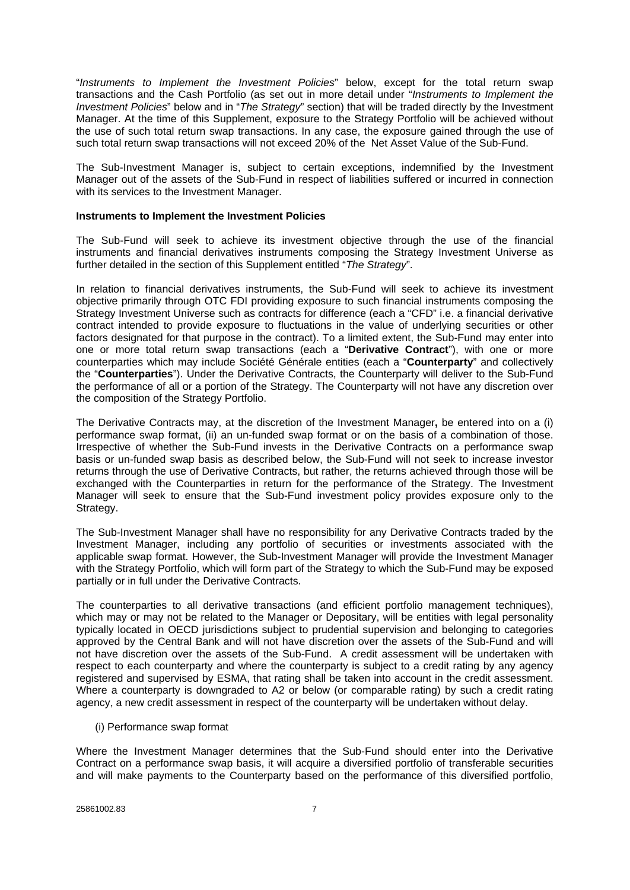"*Instruments to Implement the Investment Policies*" below, except for the total return swap transactions and the Cash Portfolio (as set out in more detail under "*Instruments to Implement the Investment Policies*" below and in "*The Strategy*" section) that will be traded directly by the Investment Manager. At the time of this Supplement, exposure to the Strategy Portfolio will be achieved without the use of such total return swap transactions. In any case, the exposure gained through the use of such total return swap transactions will not exceed 20% of the Net Asset Value of the Sub-Fund.

The Sub-Investment Manager is, subject to certain exceptions, indemnified by the Investment Manager out of the assets of the Sub-Fund in respect of liabilities suffered or incurred in connection with its services to the Investment Manager.

#### **Instruments to Implement the Investment Policies**

The Sub-Fund will seek to achieve its investment objective through the use of the financial instruments and financial derivatives instruments composing the Strategy Investment Universe as further detailed in the section of this Supplement entitled "*The Strategy*".

In relation to financial derivatives instruments, the Sub-Fund will seek to achieve its investment objective primarily through OTC FDI providing exposure to such financial instruments composing the Strategy Investment Universe such as contracts for difference (each a "CFD" i.e. a financial derivative contract intended to provide exposure to fluctuations in the value of underlying securities or other factors designated for that purpose in the contract). To a limited extent, the Sub-Fund may enter into one or more total return swap transactions (each a "**Derivative Contract**"), with one or more counterparties which may include Société Générale entities (each a "**Counterparty**" and collectively the "**Counterparties**"). Under the Derivative Contracts, the Counterparty will deliver to the Sub-Fund the performance of all or a portion of the Strategy. The Counterparty will not have any discretion over the composition of the Strategy Portfolio.

The Derivative Contracts may, at the discretion of the Investment Manager**,** be entered into on a (i) performance swap format, (ii) an un-funded swap format or on the basis of a combination of those. Irrespective of whether the Sub-Fund invests in the Derivative Contracts on a performance swap basis or un-funded swap basis as described below, the Sub-Fund will not seek to increase investor returns through the use of Derivative Contracts, but rather, the returns achieved through those will be exchanged with the Counterparties in return for the performance of the Strategy. The Investment Manager will seek to ensure that the Sub-Fund investment policy provides exposure only to the Strategy.

The Sub-Investment Manager shall have no responsibility for any Derivative Contracts traded by the Investment Manager, including any portfolio of securities or investments associated with the applicable swap format. However, the Sub-Investment Manager will provide the Investment Manager with the Strategy Portfolio, which will form part of the Strategy to which the Sub-Fund may be exposed partially or in full under the Derivative Contracts.

The counterparties to all derivative transactions (and efficient portfolio management techniques), which may or may not be related to the Manager or Depositary, will be entities with legal personality typically located in OECD jurisdictions subject to prudential supervision and belonging to categories approved by the Central Bank and will not have discretion over the assets of the Sub-Fund and will not have discretion over the assets of the Sub-Fund. A credit assessment will be undertaken with respect to each counterparty and where the counterparty is subject to a credit rating by any agency registered and supervised by ESMA, that rating shall be taken into account in the credit assessment. Where a counterparty is downgraded to A2 or below (or comparable rating) by such a credit rating agency, a new credit assessment in respect of the counterparty will be undertaken without delay.

#### (i) Performance swap format

Where the Investment Manager determines that the Sub-Fund should enter into the Derivative Contract on a performance swap basis, it will acquire a diversified portfolio of transferable securities and will make payments to the Counterparty based on the performance of this diversified portfolio,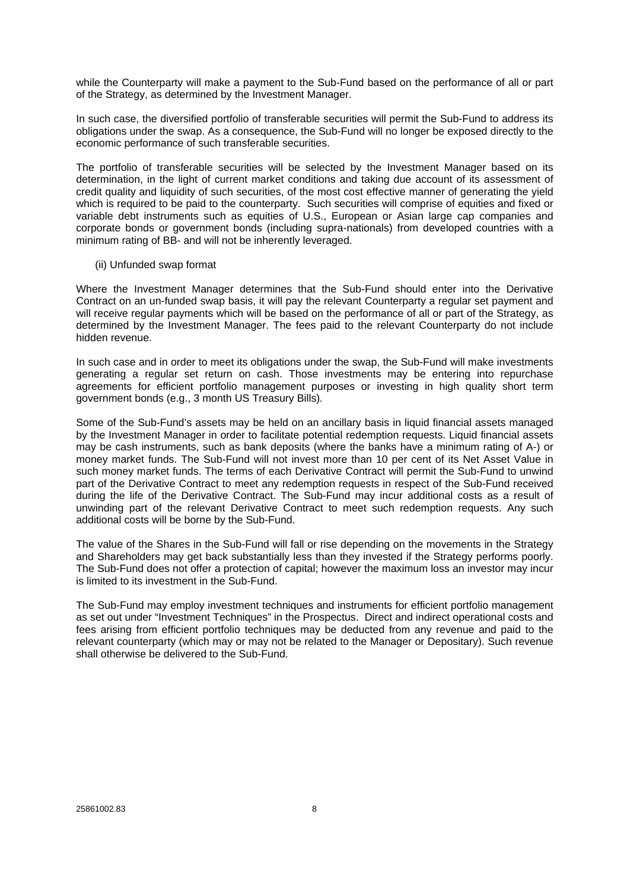while the Counterparty will make a payment to the Sub-Fund based on the performance of all or part of the Strategy, as determined by the Investment Manager.

In such case, the diversified portfolio of transferable securities will permit the Sub-Fund to address its obligations under the swap. As a consequence, the Sub-Fund will no longer be exposed directly to the economic performance of such transferable securities.

The portfolio of transferable securities will be selected by the Investment Manager based on its determination, in the light of current market conditions and taking due account of its assessment of credit quality and liquidity of such securities, of the most cost effective manner of generating the yield which is required to be paid to the counterparty. Such securities will comprise of equities and fixed or variable debt instruments such as equities of U.S., European or Asian large cap companies and corporate bonds or government bonds (including supra-nationals) from developed countries with a minimum rating of BB- and will not be inherently leveraged.

#### (ii) Unfunded swap format

Where the Investment Manager determines that the Sub-Fund should enter into the Derivative Contract on an un-funded swap basis, it will pay the relevant Counterparty a regular set payment and will receive regular payments which will be based on the performance of all or part of the Strategy, as determined by the Investment Manager. The fees paid to the relevant Counterparty do not include hidden revenue.

In such case and in order to meet its obligations under the swap, the Sub-Fund will make investments generating a regular set return on cash. Those investments may be entering into repurchase agreements for efficient portfolio management purposes or investing in high quality short term government bonds (e.g., 3 month US Treasury Bills)*.*

Some of the Sub-Fund's assets may be held on an ancillary basis in liquid financial assets managed by the Investment Manager in order to facilitate potential redemption requests. Liquid financial assets may be cash instruments, such as bank deposits (where the banks have a minimum rating of A-) or money market funds. The Sub-Fund will not invest more than 10 per cent of its Net Asset Value in such money market funds. The terms of each Derivative Contract will permit the Sub-Fund to unwind part of the Derivative Contract to meet any redemption requests in respect of the Sub-Fund received during the life of the Derivative Contract. The Sub-Fund may incur additional costs as a result of unwinding part of the relevant Derivative Contract to meet such redemption requests. Any such additional costs will be borne by the Sub-Fund.

The value of the Shares in the Sub-Fund will fall or rise depending on the movements in the Strategy and Shareholders may get back substantially less than they invested if the Strategy performs poorly. The Sub-Fund does not offer a protection of capital; however the maximum loss an investor may incur is limited to its investment in the Sub-Fund.

The Sub-Fund may employ investment techniques and instruments for efficient portfolio management as set out under "Investment Techniques" in the Prospectus. Direct and indirect operational costs and fees arising from efficient portfolio techniques may be deducted from any revenue and paid to the relevant counterparty (which may or may not be related to the Manager or Depositary). Such revenue shall otherwise be delivered to the Sub-Fund.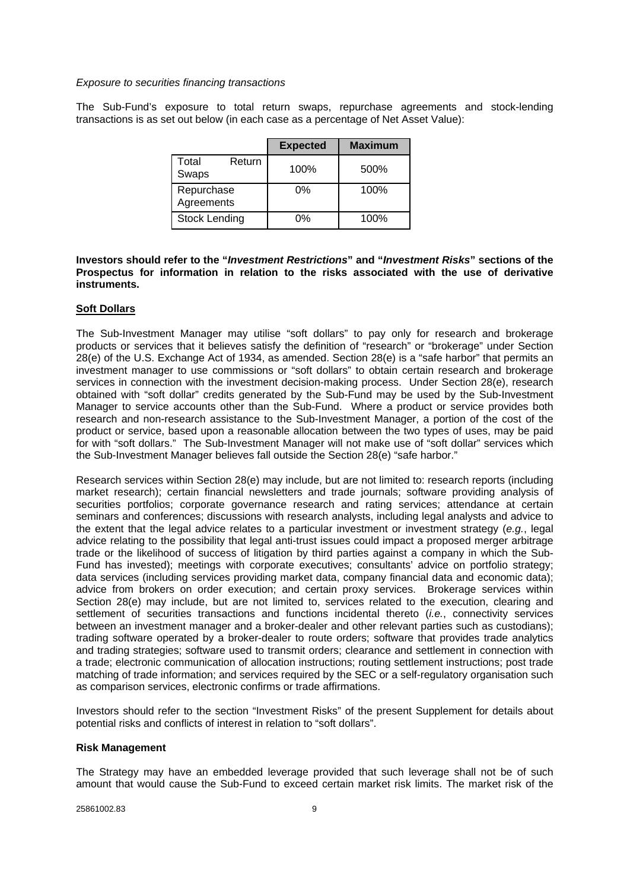#### *Exposure to securities financing transactions*

The Sub-Fund's exposure to total return swaps, repurchase agreements and stock-lending transactions is as set out below (in each case as a percentage of Net Asset Value):

|                          | <b>Expected</b> | <b>Maximum</b> |
|--------------------------|-----------------|----------------|
| Total<br>Return<br>Swaps | 100%            | 500%           |
| Repurchase<br>Agreements | 0%              | 100%           |
| <b>Stock Lending</b>     | 0%              | 100%           |

## **Investors should refer to the "***Investment Restrictions***" and "***Investment Risks***" sections of the Prospectus for information in relation to the risks associated with the use of derivative instruments.**

#### **Soft Dollars**

The Sub-Investment Manager may utilise "soft dollars" to pay only for research and brokerage products or services that it believes satisfy the definition of "research" or "brokerage" under Section 28(e) of the U.S. Exchange Act of 1934, as amended. Section 28(e) is a "safe harbor" that permits an investment manager to use commissions or "soft dollars" to obtain certain research and brokerage services in connection with the investment decision-making process. Under Section 28(e), research obtained with "soft dollar" credits generated by the Sub-Fund may be used by the Sub-Investment Manager to service accounts other than the Sub-Fund. Where a product or service provides both research and non-research assistance to the Sub-Investment Manager, a portion of the cost of the product or service, based upon a reasonable allocation between the two types of uses, may be paid for with "soft dollars." The Sub-Investment Manager will not make use of "soft dollar" services which the Sub-Investment Manager believes fall outside the Section 28(e) "safe harbor."

Research services within Section 28(e) may include, but are not limited to: research reports (including market research); certain financial newsletters and trade journals; software providing analysis of securities portfolios; corporate governance research and rating services; attendance at certain seminars and conferences; discussions with research analysts, including legal analysts and advice to the extent that the legal advice relates to a particular investment or investment strategy (*e.g.*, legal advice relating to the possibility that legal anti-trust issues could impact a proposed merger arbitrage trade or the likelihood of success of litigation by third parties against a company in which the Sub-Fund has invested); meetings with corporate executives; consultants' advice on portfolio strategy; data services (including services providing market data, company financial data and economic data); advice from brokers on order execution; and certain proxy services. Brokerage services within Section 28(e) may include, but are not limited to, services related to the execution, clearing and settlement of securities transactions and functions incidental thereto (*i.e.*, connectivity services between an investment manager and a broker-dealer and other relevant parties such as custodians); trading software operated by a broker-dealer to route orders; software that provides trade analytics and trading strategies; software used to transmit orders; clearance and settlement in connection with a trade; electronic communication of allocation instructions; routing settlement instructions; post trade matching of trade information; and services required by the SEC or a self-regulatory organisation such as comparison services, electronic confirms or trade affirmations.

Investors should refer to the section "Investment Risks" of the present Supplement for details about potential risks and conflicts of interest in relation to "soft dollars".

#### **Risk Management**

The Strategy may have an embedded leverage provided that such leverage shall not be of such amount that would cause the Sub-Fund to exceed certain market risk limits. The market risk of the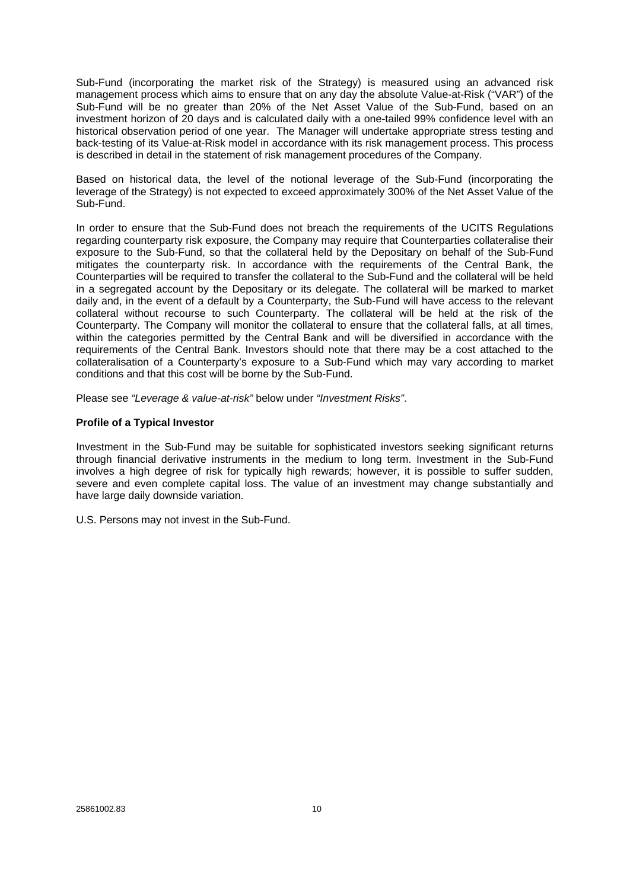Sub-Fund (incorporating the market risk of the Strategy) is measured using an advanced risk management process which aims to ensure that on any day the absolute Value-at-Risk ("VAR") of the Sub-Fund will be no greater than 20% of the Net Asset Value of the Sub-Fund, based on an investment horizon of 20 days and is calculated daily with a one-tailed 99% confidence level with an historical observation period of one year. The Manager will undertake appropriate stress testing and back-testing of its Value-at-Risk model in accordance with its risk management process. This process is described in detail in the statement of risk management procedures of the Company.

Based on historical data, the level of the notional leverage of the Sub-Fund (incorporating the leverage of the Strategy) is not expected to exceed approximately 300% of the Net Asset Value of the Sub-Fund.

In order to ensure that the Sub-Fund does not breach the requirements of the UCITS Regulations regarding counterparty risk exposure, the Company may require that Counterparties collateralise their exposure to the Sub-Fund, so that the collateral held by the Depositary on behalf of the Sub-Fund mitigates the counterparty risk. In accordance with the requirements of the Central Bank, the Counterparties will be required to transfer the collateral to the Sub-Fund and the collateral will be held in a segregated account by the Depositary or its delegate. The collateral will be marked to market daily and, in the event of a default by a Counterparty, the Sub-Fund will have access to the relevant collateral without recourse to such Counterparty. The collateral will be held at the risk of the Counterparty. The Company will monitor the collateral to ensure that the collateral falls, at all times, within the categories permitted by the Central Bank and will be diversified in accordance with the requirements of the Central Bank. Investors should note that there may be a cost attached to the collateralisation of a Counterparty's exposure to a Sub-Fund which may vary according to market conditions and that this cost will be borne by the Sub-Fund.

Please see *"Leverage & value-at-risk"* below under *"Investment Risks"*.

## **Profile of a Typical Investor**

Investment in the Sub-Fund may be suitable for sophisticated investors seeking significant returns through financial derivative instruments in the medium to long term. Investment in the Sub-Fund involves a high degree of risk for typically high rewards; however, it is possible to suffer sudden, severe and even complete capital loss. The value of an investment may change substantially and have large daily downside variation.

U.S. Persons may not invest in the Sub-Fund.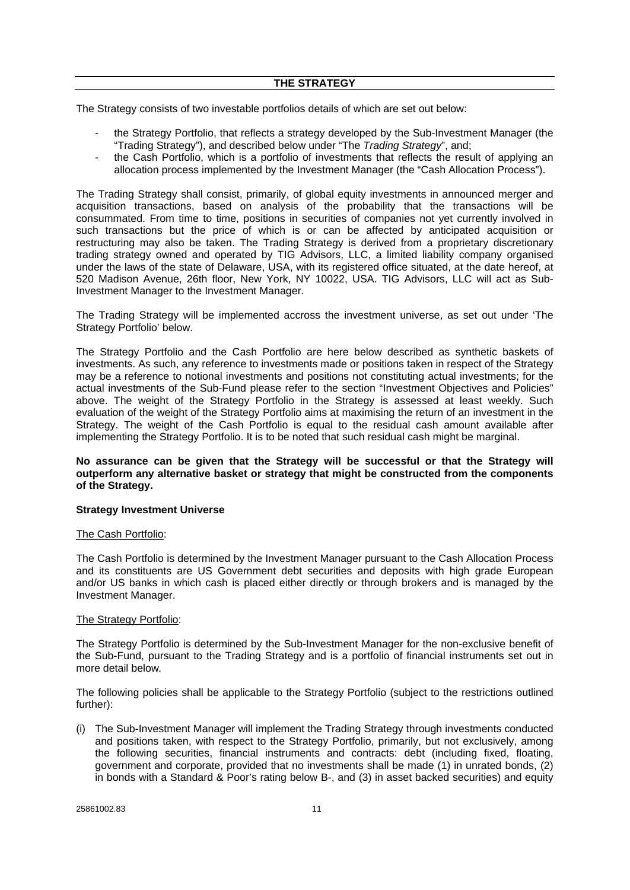The Strategy consists of two investable portfolios details of which are set out below:

- the Strategy Portfolio, that reflects a strategy developed by the Sub-Investment Manager (the "Trading Strategy"), and described below under "The *Trading Strategy*", and;
- the Cash Portfolio, which is a portfolio of investments that reflects the result of applying an allocation process implemented by the Investment Manager (the "Cash Allocation Process").

The Trading Strategy shall consist, primarily, of global equity investments in announced merger and acquisition transactions, based on analysis of the probability that the transactions will be consummated. From time to time, positions in securities of companies not yet currently involved in such transactions but the price of which is or can be affected by anticipated acquisition or restructuring may also be taken. The Trading Strategy is derived from a proprietary discretionary trading strategy owned and operated by TIG Advisors, LLC, a limited liability company organised under the laws of the state of Delaware, USA, with its registered office situated, at the date hereof, at 520 Madison Avenue, 26th floor, New York, NY 10022, USA. TIG Advisors, LLC will act as Sub-Investment Manager to the Investment Manager.

The Trading Strategy will be implemented accross the investment universe, as set out under 'The Strategy Portfolio' below.

The Strategy Portfolio and the Cash Portfolio are here below described as synthetic baskets of investments. As such, any reference to investments made or positions taken in respect of the Strategy may be a reference to notional investments and positions not constituting actual investments; for the actual investments of the Sub-Fund please refer to the section "Investment Objectives and Policies" above. The weight of the Strategy Portfolio in the Strategy is assessed at least weekly. Such evaluation of the weight of the Strategy Portfolio aims at maximising the return of an investment in the Strategy. The weight of the Cash Portfolio is equal to the residual cash amount available after implementing the Strategy Portfolio. It is to be noted that such residual cash might be marginal.

## **No assurance can be given that the Strategy will be successful or that the Strategy will outperform any alternative basket or strategy that might be constructed from the components of the Strategy.**

## **Strategy Investment Universe**

#### The Cash Portfolio:

The Cash Portfolio is determined by the Investment Manager pursuant to the Cash Allocation Process and its constituents are US Government debt securities and deposits with high grade European and/or US banks in which cash is placed either directly or through brokers and is managed by the Investment Manager.

#### The Strategy Portfolio:

The Strategy Portfolio is determined by the Sub-Investment Manager for the non-exclusive benefit of the Sub-Fund, pursuant to the Trading Strategy and is a portfolio of financial instruments set out in more detail below*.*

The following policies shall be applicable to the Strategy Portfolio (subject to the restrictions outlined further):

(i) The Sub-Investment Manager will implement the Trading Strategy through investments conducted and positions taken, with respect to the Strategy Portfolio, primarily, but not exclusively, among the following securities, financial instruments and contracts: debt (including fixed, floating, government and corporate, provided that no investments shall be made (1) in unrated bonds, (2) in bonds with a Standard & Poor's rating below B-, and (3) in asset backed securities) and equity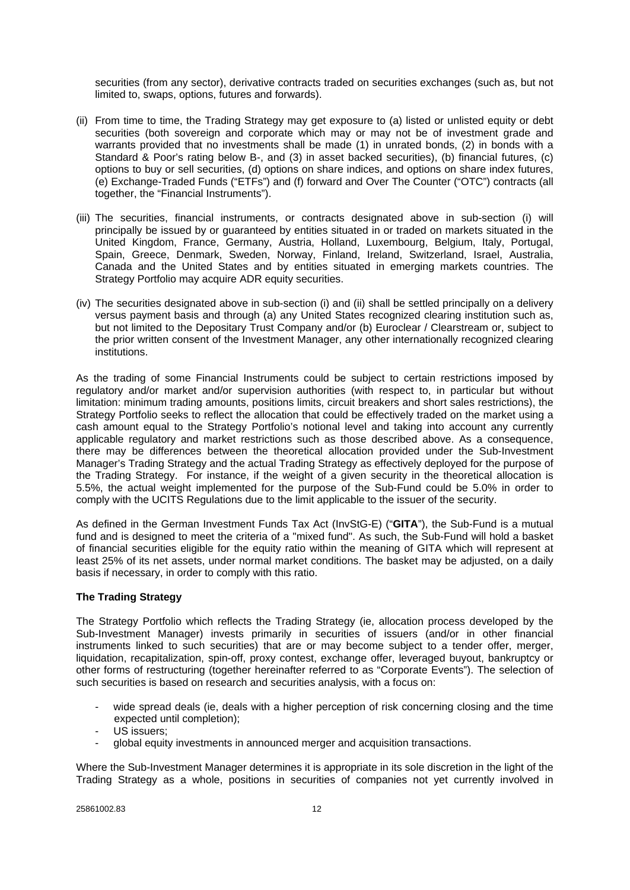securities (from any sector), derivative contracts traded on securities exchanges (such as, but not limited to, swaps, options, futures and forwards).

- (ii) From time to time, the Trading Strategy may get exposure to (a) listed or unlisted equity or debt securities (both sovereign and corporate which may or may not be of investment grade and warrants provided that no investments shall be made (1) in unrated bonds, (2) in bonds with a Standard & Poor's rating below B-, and (3) in asset backed securities), (b) financial futures, (c) options to buy or sell securities, (d) options on share indices, and options on share index futures, (e) Exchange-Traded Funds ("ETFs") and (f) forward and Over The Counter ("OTC") contracts (all together, the "Financial Instruments").
- (iii) The securities, financial instruments, or contracts designated above in sub-section (i) will principally be issued by or guaranteed by entities situated in or traded on markets situated in the United Kingdom, France, Germany, Austria, Holland, Luxembourg, Belgium, Italy, Portugal, Spain, Greece, Denmark, Sweden, Norway, Finland, Ireland, Switzerland, Israel, Australia, Canada and the United States and by entities situated in emerging markets countries. The Strategy Portfolio may acquire ADR equity securities.
- (iv) The securities designated above in sub-section (i) and (ii) shall be settled principally on a delivery versus payment basis and through (a) any United States recognized clearing institution such as, but not limited to the Depositary Trust Company and/or (b) Euroclear / Clearstream or, subject to the prior written consent of the Investment Manager, any other internationally recognized clearing institutions.

As the trading of some Financial Instruments could be subject to certain restrictions imposed by regulatory and/or market and/or supervision authorities (with respect to, in particular but without limitation: minimum trading amounts, positions limits, circuit breakers and short sales restrictions), the Strategy Portfolio seeks to reflect the allocation that could be effectively traded on the market using a cash amount equal to the Strategy Portfolio's notional level and taking into account any currently applicable regulatory and market restrictions such as those described above. As a consequence, there may be differences between the theoretical allocation provided under the Sub-Investment Manager's Trading Strategy and the actual Trading Strategy as effectively deployed for the purpose of the Trading Strategy. For instance, if the weight of a given security in the theoretical allocation is 5.5%, the actual weight implemented for the purpose of the Sub-Fund could be 5.0% in order to comply with the UCITS Regulations due to the limit applicable to the issuer of the security.

As defined in the German Investment Funds Tax Act (InvStG-E) ("**GITA**"), the Sub-Fund is a mutual fund and is designed to meet the criteria of a "mixed fund". As such, the Sub-Fund will hold a basket of financial securities eligible for the equity ratio within the meaning of GITA which will represent at least 25% of its net assets, under normal market conditions. The basket may be adjusted, on a daily basis if necessary, in order to comply with this ratio.

## **The Trading Strategy**

The Strategy Portfolio which reflects the Trading Strategy (ie, allocation process developed by the Sub-Investment Manager) invests primarily in securities of issuers (and/or in other financial instruments linked to such securities) that are or may become subject to a tender offer, merger, liquidation, recapitalization, spin-off, proxy contest, exchange offer, leveraged buyout, bankruptcy or other forms of restructuring (together hereinafter referred to as "Corporate Events"). The selection of such securities is based on research and securities analysis, with a focus on:

- wide spread deals (ie, deals with a higher perception of risk concerning closing and the time expected until completion);
- US issuers;
- global equity investments in announced merger and acquisition transactions.

Where the Sub-Investment Manager determines it is appropriate in its sole discretion in the light of the Trading Strategy as a whole, positions in securities of companies not yet currently involved in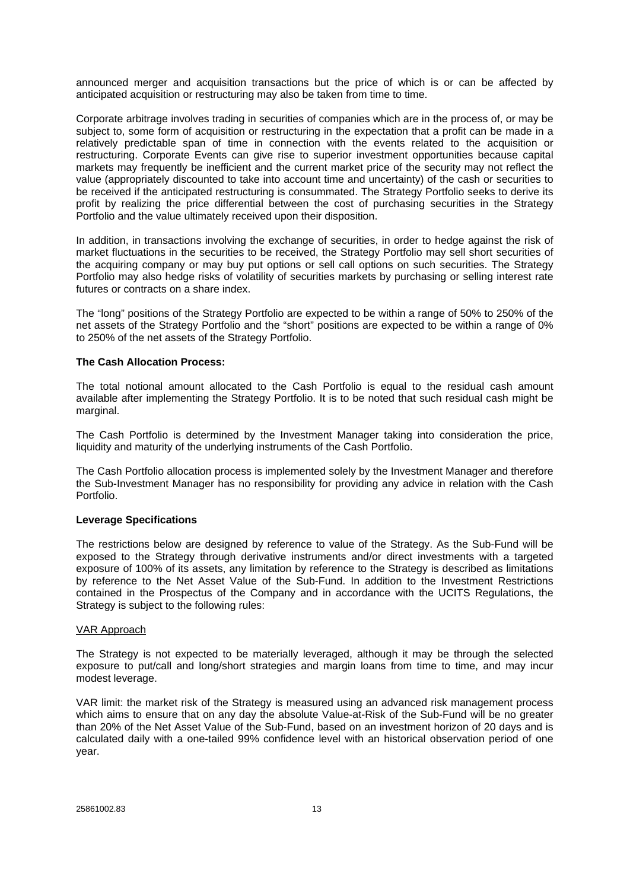announced merger and acquisition transactions but the price of which is or can be affected by anticipated acquisition or restructuring may also be taken from time to time.

Corporate arbitrage involves trading in securities of companies which are in the process of, or may be subject to, some form of acquisition or restructuring in the expectation that a profit can be made in a relatively predictable span of time in connection with the events related to the acquisition or restructuring. Corporate Events can give rise to superior investment opportunities because capital markets may frequently be inefficient and the current market price of the security may not reflect the value (appropriately discounted to take into account time and uncertainty) of the cash or securities to be received if the anticipated restructuring is consummated. The Strategy Portfolio seeks to derive its profit by realizing the price differential between the cost of purchasing securities in the Strategy Portfolio and the value ultimately received upon their disposition.

In addition, in transactions involving the exchange of securities, in order to hedge against the risk of market fluctuations in the securities to be received, the Strategy Portfolio may sell short securities of the acquiring company or may buy put options or sell call options on such securities. The Strategy Portfolio may also hedge risks of volatility of securities markets by purchasing or selling interest rate futures or contracts on a share index.

The "long" positions of the Strategy Portfolio are expected to be within a range of 50% to 250% of the net assets of the Strategy Portfolio and the "short" positions are expected to be within a range of 0% to 250% of the net assets of the Strategy Portfolio.

## **The Cash Allocation Process:**

The total notional amount allocated to the Cash Portfolio is equal to the residual cash amount available after implementing the Strategy Portfolio. It is to be noted that such residual cash might be marginal.

The Cash Portfolio is determined by the Investment Manager taking into consideration the price, liquidity and maturity of the underlying instruments of the Cash Portfolio.

The Cash Portfolio allocation process is implemented solely by the Investment Manager and therefore the Sub-Investment Manager has no responsibility for providing any advice in relation with the Cash Portfolio.

#### **Leverage Specifications**

The restrictions below are designed by reference to value of the Strategy. As the Sub-Fund will be exposed to the Strategy through derivative instruments and/or direct investments with a targeted exposure of 100% of its assets, any limitation by reference to the Strategy is described as limitations by reference to the Net Asset Value of the Sub-Fund. In addition to the Investment Restrictions contained in the Prospectus of the Company and in accordance with the UCITS Regulations, the Strategy is subject to the following rules:

## VAR Approach

The Strategy is not expected to be materially leveraged, although it may be through the selected exposure to put/call and long/short strategies and margin loans from time to time, and may incur modest leverage.

VAR limit: the market risk of the Strategy is measured using an advanced risk management process which aims to ensure that on any day the absolute Value-at-Risk of the Sub-Fund will be no greater than 20% of the Net Asset Value of the Sub-Fund, based on an investment horizon of 20 days and is calculated daily with a one-tailed 99% confidence level with an historical observation period of one year.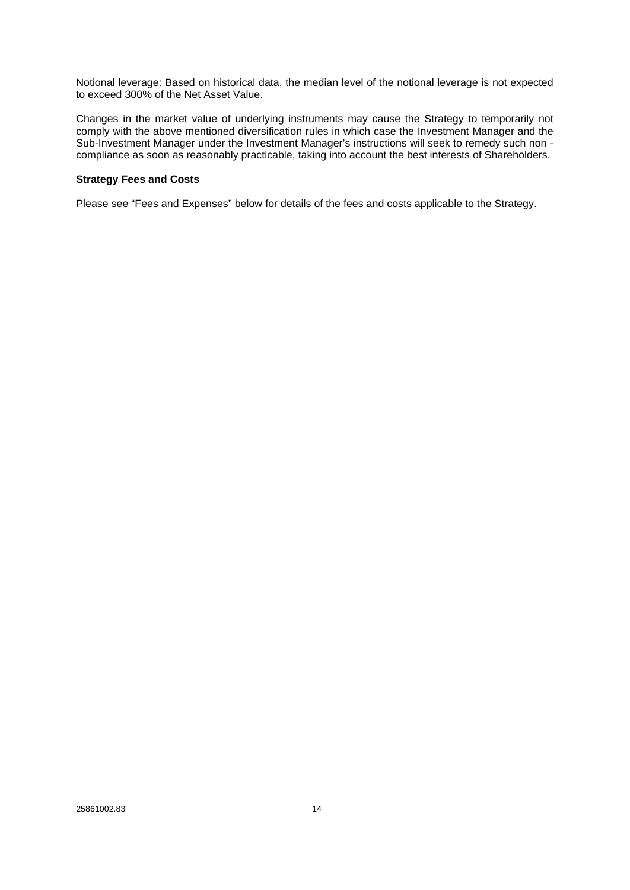Notional leverage: Based on historical data, the median level of the notional leverage is not expected to exceed 300% of the Net Asset Value.

Changes in the market value of underlying instruments may cause the Strategy to temporarily not comply with the above mentioned diversification rules in which case the Investment Manager and the Sub-Investment Manager under the Investment Manager's instructions will seek to remedy such non compliance as soon as reasonably practicable, taking into account the best interests of Shareholders.

## **Strategy Fees and Costs**

Please see "Fees and Expenses" below for details of the fees and costs applicable to the Strategy.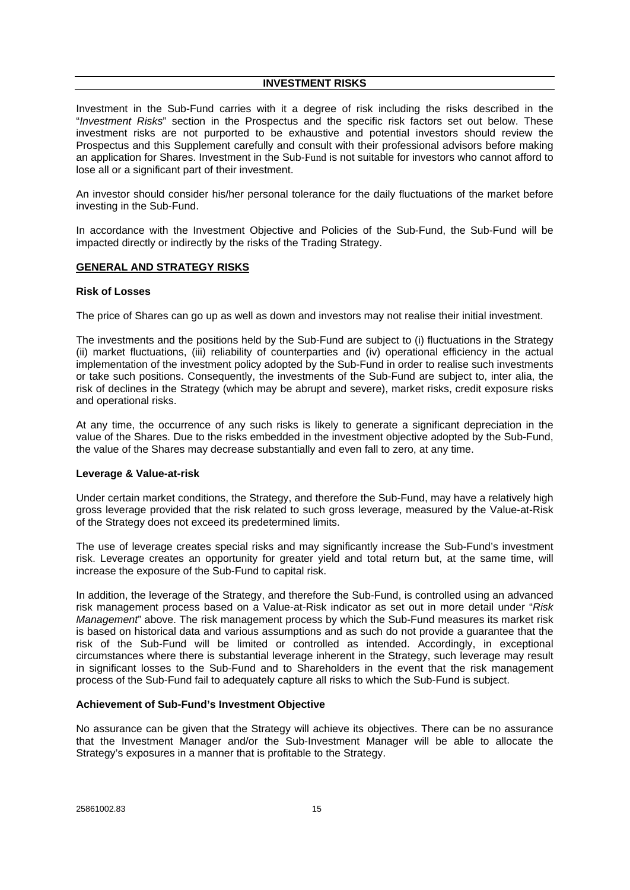#### **INVESTMENT RISKS**

Investment in the Sub-Fund carries with it a degree of risk including the risks described in the "*Investment Risks*" section in the Prospectus and the specific risk factors set out below. These investment risks are not purported to be exhaustive and potential investors should review the Prospectus and this Supplement carefully and consult with their professional advisors before making an application for Shares. Investment in the Sub-Fund is not suitable for investors who cannot afford to lose all or a significant part of their investment.

An investor should consider his/her personal tolerance for the daily fluctuations of the market before investing in the Sub-Fund.

In accordance with the Investment Objective and Policies of the Sub-Fund, the Sub-Fund will be impacted directly or indirectly by the risks of the Trading Strategy.

#### **GENERAL AND STRATEGY RISKS**

#### **Risk of Losses**

The price of Shares can go up as well as down and investors may not realise their initial investment.

The investments and the positions held by the Sub-Fund are subject to (i) fluctuations in the Strategy (ii) market fluctuations, (iii) reliability of counterparties and (iv) operational efficiency in the actual implementation of the investment policy adopted by the Sub-Fund in order to realise such investments or take such positions. Consequently, the investments of the Sub-Fund are subject to, inter alia, the risk of declines in the Strategy (which may be abrupt and severe), market risks, credit exposure risks and operational risks.

At any time, the occurrence of any such risks is likely to generate a significant depreciation in the value of the Shares. Due to the risks embedded in the investment objective adopted by the Sub-Fund, the value of the Shares may decrease substantially and even fall to zero, at any time.

## **Leverage & Value-at-risk**

Under certain market conditions, the Strategy, and therefore the Sub-Fund, may have a relatively high gross leverage provided that the risk related to such gross leverage, measured by the Value-at-Risk of the Strategy does not exceed its predetermined limits.

The use of leverage creates special risks and may significantly increase the Sub-Fund's investment risk. Leverage creates an opportunity for greater yield and total return but, at the same time, will increase the exposure of the Sub-Fund to capital risk.

In addition, the leverage of the Strategy, and therefore the Sub-Fund, is controlled using an advanced risk management process based on a Value-at-Risk indicator as set out in more detail under "*Risk Management*" above. The risk management process by which the Sub-Fund measures its market risk is based on historical data and various assumptions and as such do not provide a guarantee that the risk of the Sub-Fund will be limited or controlled as intended. Accordingly, in exceptional circumstances where there is substantial leverage inherent in the Strategy, such leverage may result in significant losses to the Sub-Fund and to Shareholders in the event that the risk management process of the Sub-Fund fail to adequately capture all risks to which the Sub-Fund is subject.

## **Achievement of Sub-Fund's Investment Objective**

No assurance can be given that the Strategy will achieve its objectives. There can be no assurance that the Investment Manager and/or the Sub-Investment Manager will be able to allocate the Strategy's exposures in a manner that is profitable to the Strategy.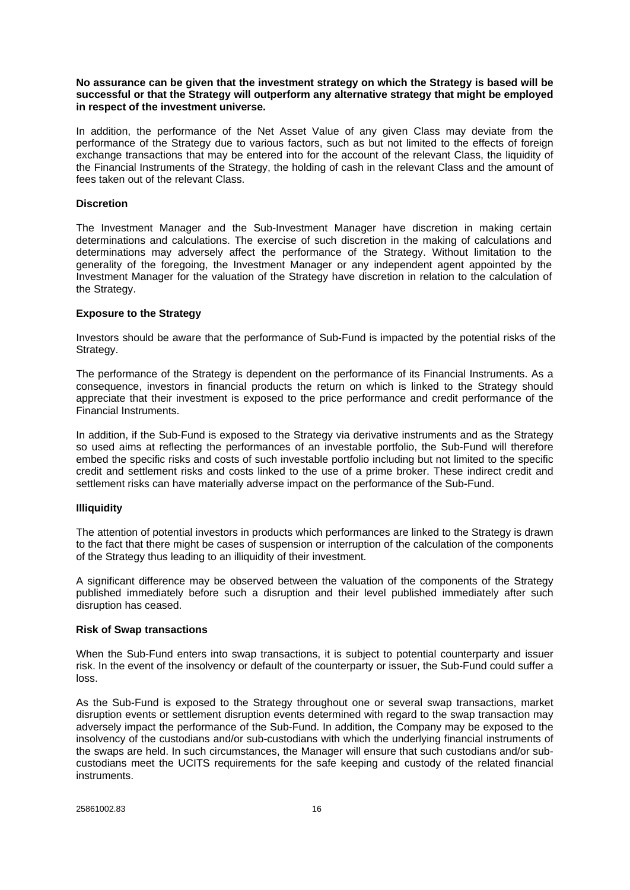#### **No assurance can be given that the investment strategy on which the Strategy is based will be successful or that the Strategy will outperform any alternative strategy that might be employed in respect of the investment universe.**

In addition, the performance of the Net Asset Value of any given Class may deviate from the performance of the Strategy due to various factors, such as but not limited to the effects of foreign exchange transactions that may be entered into for the account of the relevant Class, the liquidity of the Financial Instruments of the Strategy, the holding of cash in the relevant Class and the amount of fees taken out of the relevant Class.

## **Discretion**

The Investment Manager and the Sub-Investment Manager have discretion in making certain determinations and calculations. The exercise of such discretion in the making of calculations and determinations may adversely affect the performance of the Strategy. Without limitation to the generality of the foregoing, the Investment Manager or any independent agent appointed by the Investment Manager for the valuation of the Strategy have discretion in relation to the calculation of the Strategy.

#### **Exposure to the Strategy**

Investors should be aware that the performance of Sub-Fund is impacted by the potential risks of the Strategy.

The performance of the Strategy is dependent on the performance of its Financial Instruments. As a consequence, investors in financial products the return on which is linked to the Strategy should appreciate that their investment is exposed to the price performance and credit performance of the Financial Instruments.

In addition, if the Sub-Fund is exposed to the Strategy via derivative instruments and as the Strategy so used aims at reflecting the performances of an investable portfolio, the Sub-Fund will therefore embed the specific risks and costs of such investable portfolio including but not limited to the specific credit and settlement risks and costs linked to the use of a prime broker. These indirect credit and settlement risks can have materially adverse impact on the performance of the Sub-Fund.

## **Illiquidity**

The attention of potential investors in products which performances are linked to the Strategy is drawn to the fact that there might be cases of suspension or interruption of the calculation of the components of the Strategy thus leading to an illiquidity of their investment.

A significant difference may be observed between the valuation of the components of the Strategy published immediately before such a disruption and their level published immediately after such disruption has ceased.

#### **Risk of Swap transactions**

When the Sub-Fund enters into swap transactions, it is subject to potential counterparty and issuer risk. In the event of the insolvency or default of the counterparty or issuer, the Sub-Fund could suffer a loss.

As the Sub-Fund is exposed to the Strategy throughout one or several swap transactions, market disruption events or settlement disruption events determined with regard to the swap transaction may adversely impact the performance of the Sub-Fund. In addition, the Company may be exposed to the insolvency of the custodians and/or sub-custodians with which the underlying financial instruments of the swaps are held. In such circumstances, the Manager will ensure that such custodians and/or subcustodians meet the UCITS requirements for the safe keeping and custody of the related financial instruments.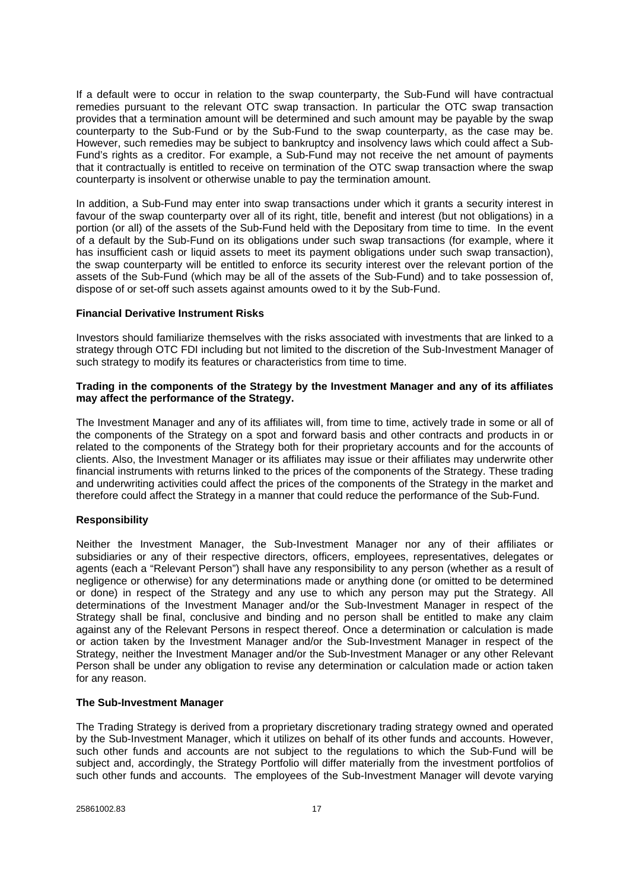If a default were to occur in relation to the swap counterparty, the Sub-Fund will have contractual remedies pursuant to the relevant OTC swap transaction. In particular the OTC swap transaction provides that a termination amount will be determined and such amount may be payable by the swap counterparty to the Sub-Fund or by the Sub-Fund to the swap counterparty, as the case may be. However, such remedies may be subject to bankruptcy and insolvency laws which could affect a Sub-Fund's rights as a creditor. For example, a Sub-Fund may not receive the net amount of payments that it contractually is entitled to receive on termination of the OTC swap transaction where the swap counterparty is insolvent or otherwise unable to pay the termination amount.

In addition, a Sub-Fund may enter into swap transactions under which it grants a security interest in favour of the swap counterparty over all of its right, title, benefit and interest (but not obligations) in a portion (or all) of the assets of the Sub-Fund held with the Depositary from time to time. In the event of a default by the Sub-Fund on its obligations under such swap transactions (for example, where it has insufficient cash or liquid assets to meet its payment obligations under such swap transaction), the swap counterparty will be entitled to enforce its security interest over the relevant portion of the assets of the Sub-Fund (which may be all of the assets of the Sub-Fund) and to take possession of, dispose of or set-off such assets against amounts owed to it by the Sub-Fund.

## **Financial Derivative Instrument Risks**

Investors should familiarize themselves with the risks associated with investments that are linked to a strategy through OTC FDI including but not limited to the discretion of the Sub-Investment Manager of such strategy to modify its features or characteristics from time to time.

## **Trading in the components of the Strategy by the Investment Manager and any of its affiliates may affect the performance of the Strategy.**

The Investment Manager and any of its affiliates will, from time to time, actively trade in some or all of the components of the Strategy on a spot and forward basis and other contracts and products in or related to the components of the Strategy both for their proprietary accounts and for the accounts of clients. Also, the Investment Manager or its affiliates may issue or their affiliates may underwrite other financial instruments with returns linked to the prices of the components of the Strategy. These trading and underwriting activities could affect the prices of the components of the Strategy in the market and therefore could affect the Strategy in a manner that could reduce the performance of the Sub-Fund.

## **Responsibility**

Neither the Investment Manager, the Sub-Investment Manager nor any of their affiliates or subsidiaries or any of their respective directors, officers, employees, representatives, delegates or agents (each a "Relevant Person") shall have any responsibility to any person (whether as a result of negligence or otherwise) for any determinations made or anything done (or omitted to be determined or done) in respect of the Strategy and any use to which any person may put the Strategy. All determinations of the Investment Manager and/or the Sub-Investment Manager in respect of the Strategy shall be final, conclusive and binding and no person shall be entitled to make any claim against any of the Relevant Persons in respect thereof. Once a determination or calculation is made or action taken by the Investment Manager and/or the Sub-Investment Manager in respect of the Strategy, neither the Investment Manager and/or the Sub-Investment Manager or any other Relevant Person shall be under any obligation to revise any determination or calculation made or action taken for any reason.

## **The Sub-Investment Manager**

The Trading Strategy is derived from a proprietary discretionary trading strategy owned and operated by the Sub-Investment Manager, which it utilizes on behalf of its other funds and accounts. However, such other funds and accounts are not subject to the regulations to which the Sub-Fund will be subject and, accordingly, the Strategy Portfolio will differ materially from the investment portfolios of such other funds and accounts. The employees of the Sub-Investment Manager will devote varying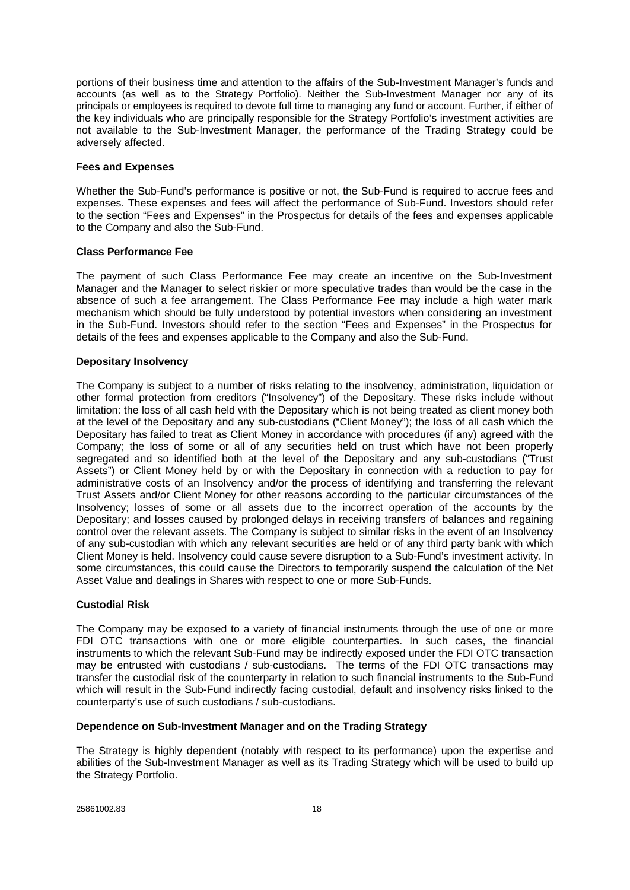portions of their business time and attention to the affairs of the Sub-Investment Manager's funds and accounts (as well as to the Strategy Portfolio). Neither the Sub-Investment Manager nor any of its principals or employees is required to devote full time to managing any fund or account. Further, if either of the key individuals who are principally responsible for the Strategy Portfolio's investment activities are not available to the Sub-Investment Manager, the performance of the Trading Strategy could be adversely affected.

## **Fees and Expenses**

Whether the Sub-Fund's performance is positive or not, the Sub-Fund is required to accrue fees and expenses. These expenses and fees will affect the performance of Sub-Fund. Investors should refer to the section "Fees and Expenses" in the Prospectus for details of the fees and expenses applicable to the Company and also the Sub-Fund.

#### **Class Performance Fee**

The payment of such Class Performance Fee may create an incentive on the Sub-Investment Manager and the Manager to select riskier or more speculative trades than would be the case in the absence of such a fee arrangement. The Class Performance Fee may include a high water mark mechanism which should be fully understood by potential investors when considering an investment in the Sub-Fund. Investors should refer to the section "Fees and Expenses" in the Prospectus for details of the fees and expenses applicable to the Company and also the Sub-Fund.

## **Depositary Insolvency**

The Company is subject to a number of risks relating to the insolvency, administration, liquidation or other formal protection from creditors ("Insolvency") of the Depositary. These risks include without limitation: the loss of all cash held with the Depositary which is not being treated as client money both at the level of the Depositary and any sub-custodians ("Client Money"); the loss of all cash which the Depositary has failed to treat as Client Money in accordance with procedures (if any) agreed with the Company; the loss of some or all of any securities held on trust which have not been properly segregated and so identified both at the level of the Depositary and any sub-custodians ("Trust Assets") or Client Money held by or with the Depositary in connection with a reduction to pay for administrative costs of an Insolvency and/or the process of identifying and transferring the relevant Trust Assets and/or Client Money for other reasons according to the particular circumstances of the Insolvency; losses of some or all assets due to the incorrect operation of the accounts by the Depositary; and losses caused by prolonged delays in receiving transfers of balances and regaining control over the relevant assets. The Company is subject to similar risks in the event of an Insolvency of any sub-custodian with which any relevant securities are held or of any third party bank with which Client Money is held. Insolvency could cause severe disruption to a Sub-Fund's investment activity. In some circumstances, this could cause the Directors to temporarily suspend the calculation of the Net Asset Value and dealings in Shares with respect to one or more Sub-Funds.

## **Custodial Risk**

The Company may be exposed to a variety of financial instruments through the use of one or more FDI OTC transactions with one or more eligible counterparties. In such cases, the financial instruments to which the relevant Sub-Fund may be indirectly exposed under the FDI OTC transaction may be entrusted with custodians / sub-custodians. The terms of the FDI OTC transactions may transfer the custodial risk of the counterparty in relation to such financial instruments to the Sub-Fund which will result in the Sub-Fund indirectly facing custodial, default and insolvency risks linked to the counterparty's use of such custodians / sub-custodians.

## **Dependence on Sub-Investment Manager and on the Trading Strategy**

The Strategy is highly dependent (notably with respect to its performance) upon the expertise and abilities of the Sub-Investment Manager as well as its Trading Strategy which will be used to build up the Strategy Portfolio.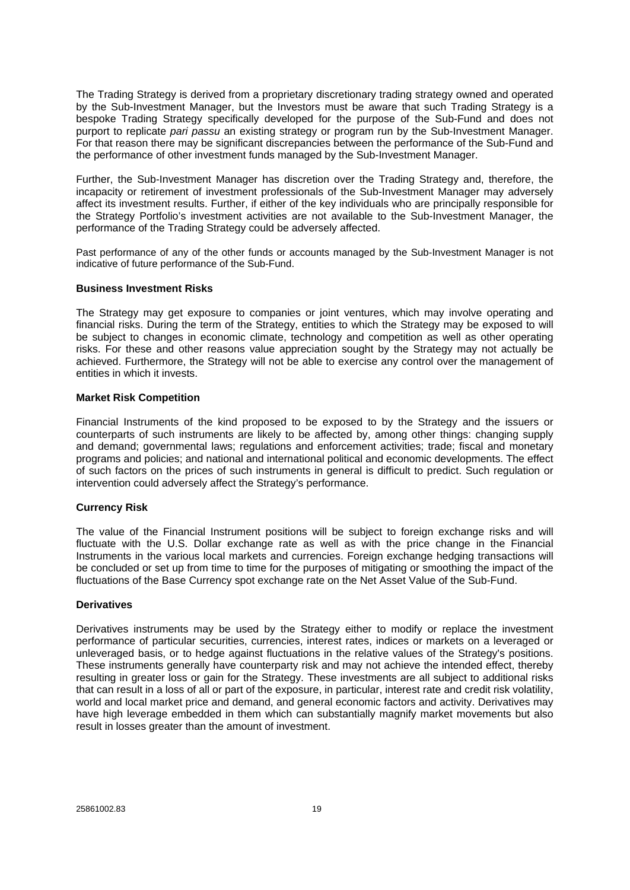The Trading Strategy is derived from a proprietary discretionary trading strategy owned and operated by the Sub-Investment Manager, but the Investors must be aware that such Trading Strategy is a bespoke Trading Strategy specifically developed for the purpose of the Sub-Fund and does not purport to replicate *pari passu* an existing strategy or program run by the Sub-Investment Manager. For that reason there may be significant discrepancies between the performance of the Sub-Fund and the performance of other investment funds managed by the Sub-Investment Manager.

Further, the Sub-Investment Manager has discretion over the Trading Strategy and, therefore, the incapacity or retirement of investment professionals of the Sub-Investment Manager may adversely affect its investment results. Further, if either of the key individuals who are principally responsible for the Strategy Portfolio's investment activities are not available to the Sub-Investment Manager, the performance of the Trading Strategy could be adversely affected.

Past performance of any of the other funds or accounts managed by the Sub-Investment Manager is not indicative of future performance of the Sub-Fund.

#### **Business Investment Risks**

The Strategy may get exposure to companies or joint ventures, which may involve operating and financial risks. During the term of the Strategy, entities to which the Strategy may be exposed to will be subject to changes in economic climate, technology and competition as well as other operating risks. For these and other reasons value appreciation sought by the Strategy may not actually be achieved. Furthermore, the Strategy will not be able to exercise any control over the management of entities in which it invests.

## **Market Risk Competition**

Financial Instruments of the kind proposed to be exposed to by the Strategy and the issuers or counterparts of such instruments are likely to be affected by, among other things: changing supply and demand; governmental laws; regulations and enforcement activities; trade; fiscal and monetary programs and policies; and national and international political and economic developments. The effect of such factors on the prices of such instruments in general is difficult to predict. Such regulation or intervention could adversely affect the Strategy's performance.

## **Currency Risk**

The value of the Financial Instrument positions will be subject to foreign exchange risks and will fluctuate with the U.S. Dollar exchange rate as well as with the price change in the Financial Instruments in the various local markets and currencies. Foreign exchange hedging transactions will be concluded or set up from time to time for the purposes of mitigating or smoothing the impact of the fluctuations of the Base Currency spot exchange rate on the Net Asset Value of the Sub-Fund.

#### **Derivatives**

Derivatives instruments may be used by the Strategy either to modify or replace the investment performance of particular securities, currencies, interest rates, indices or markets on a leveraged or unleveraged basis, or to hedge against fluctuations in the relative values of the Strategy's positions. These instruments generally have counterparty risk and may not achieve the intended effect, thereby resulting in greater loss or gain for the Strategy. These investments are all subject to additional risks that can result in a loss of all or part of the exposure, in particular, interest rate and credit risk volatility, world and local market price and demand, and general economic factors and activity. Derivatives may have high leverage embedded in them which can substantially magnify market movements but also result in losses greater than the amount of investment.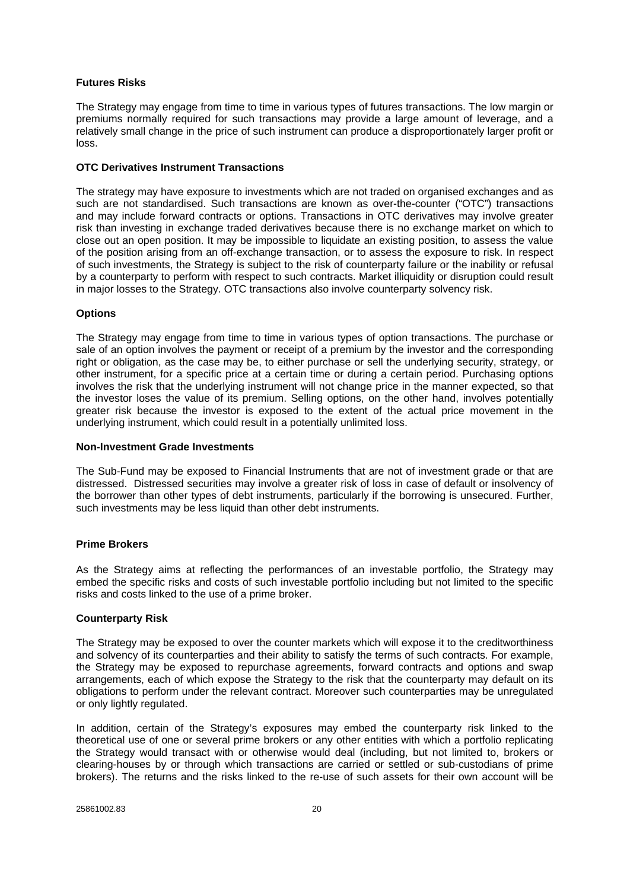## **Futures Risks**

The Strategy may engage from time to time in various types of futures transactions. The low margin or premiums normally required for such transactions may provide a large amount of leverage, and a relatively small change in the price of such instrument can produce a disproportionately larger profit or loss.

## **OTC Derivatives Instrument Transactions**

The strategy may have exposure to investments which are not traded on organised exchanges and as such are not standardised. Such transactions are known as over-the-counter ("OTC") transactions and may include forward contracts or options. Transactions in OTC derivatives may involve greater risk than investing in exchange traded derivatives because there is no exchange market on which to close out an open position. It may be impossible to liquidate an existing position, to assess the value of the position arising from an off-exchange transaction, or to assess the exposure to risk. In respect of such investments, the Strategy is subject to the risk of counterparty failure or the inability or refusal by a counterparty to perform with respect to such contracts. Market illiquidity or disruption could result in major losses to the Strategy. OTC transactions also involve counterparty solvency risk.

## **Options**

The Strategy may engage from time to time in various types of option transactions. The purchase or sale of an option involves the payment or receipt of a premium by the investor and the corresponding right or obligation, as the case may be, to either purchase or sell the underlying security, strategy, or other instrument, for a specific price at a certain time or during a certain period. Purchasing options involves the risk that the underlying instrument will not change price in the manner expected, so that the investor loses the value of its premium. Selling options, on the other hand, involves potentially greater risk because the investor is exposed to the extent of the actual price movement in the underlying instrument, which could result in a potentially unlimited loss.

## **Non-Investment Grade Investments**

The Sub-Fund may be exposed to Financial Instruments that are not of investment grade or that are distressed. Distressed securities may involve a greater risk of loss in case of default or insolvency of the borrower than other types of debt instruments, particularly if the borrowing is unsecured. Further, such investments may be less liquid than other debt instruments.

## **Prime Brokers**

As the Strategy aims at reflecting the performances of an investable portfolio, the Strategy may embed the specific risks and costs of such investable portfolio including but not limited to the specific risks and costs linked to the use of a prime broker.

## **Counterparty Risk**

The Strategy may be exposed to over the counter markets which will expose it to the creditworthiness and solvency of its counterparties and their ability to satisfy the terms of such contracts. For example, the Strategy may be exposed to repurchase agreements, forward contracts and options and swap arrangements, each of which expose the Strategy to the risk that the counterparty may default on its obligations to perform under the relevant contract. Moreover such counterparties may be unregulated or only lightly regulated.

In addition, certain of the Strategy's exposures may embed the counterparty risk linked to the theoretical use of one or several prime brokers or any other entities with which a portfolio replicating the Strategy would transact with or otherwise would deal (including, but not limited to, brokers or clearing-houses by or through which transactions are carried or settled or sub-custodians of prime brokers). The returns and the risks linked to the re-use of such assets for their own account will be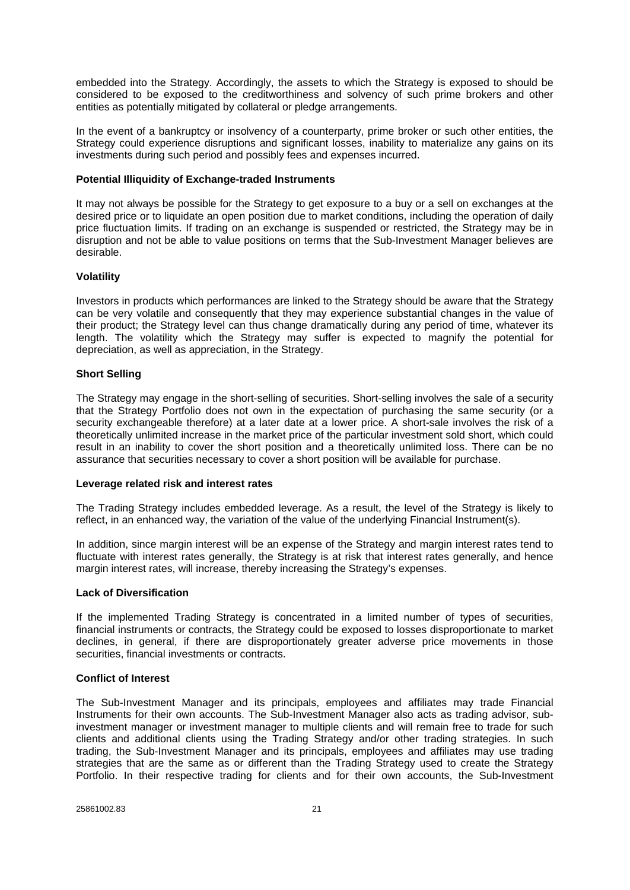embedded into the Strategy. Accordingly, the assets to which the Strategy is exposed to should be considered to be exposed to the creditworthiness and solvency of such prime brokers and other entities as potentially mitigated by collateral or pledge arrangements.

In the event of a bankruptcy or insolvency of a counterparty, prime broker or such other entities, the Strategy could experience disruptions and significant losses, inability to materialize any gains on its investments during such period and possibly fees and expenses incurred.

## **Potential Illiquidity of Exchange-traded Instruments**

It may not always be possible for the Strategy to get exposure to a buy or a sell on exchanges at the desired price or to liquidate an open position due to market conditions, including the operation of daily price fluctuation limits. If trading on an exchange is suspended or restricted, the Strategy may be in disruption and not be able to value positions on terms that the Sub-Investment Manager believes are desirable.

## **Volatility**

Investors in products which performances are linked to the Strategy should be aware that the Strategy can be very volatile and consequently that they may experience substantial changes in the value of their product; the Strategy level can thus change dramatically during any period of time, whatever its length. The volatility which the Strategy may suffer is expected to magnify the potential for depreciation, as well as appreciation, in the Strategy.

#### **Short Selling**

The Strategy may engage in the short-selling of securities. Short-selling involves the sale of a security that the Strategy Portfolio does not own in the expectation of purchasing the same security (or a security exchangeable therefore) at a later date at a lower price. A short-sale involves the risk of a theoretically unlimited increase in the market price of the particular investment sold short, which could result in an inability to cover the short position and a theoretically unlimited loss. There can be no assurance that securities necessary to cover a short position will be available for purchase.

#### **Leverage related risk and interest rates**

The Trading Strategy includes embedded leverage. As a result, the level of the Strategy is likely to reflect, in an enhanced way, the variation of the value of the underlying Financial Instrument(s).

In addition, since margin interest will be an expense of the Strategy and margin interest rates tend to fluctuate with interest rates generally, the Strategy is at risk that interest rates generally, and hence margin interest rates, will increase, thereby increasing the Strategy's expenses.

#### **Lack of Diversification**

If the implemented Trading Strategy is concentrated in a limited number of types of securities, financial instruments or contracts, the Strategy could be exposed to losses disproportionate to market declines, in general, if there are disproportionately greater adverse price movements in those securities, financial investments or contracts.

#### **Conflict of Interest**

The Sub-Investment Manager and its principals, employees and affiliates may trade Financial Instruments for their own accounts. The Sub-Investment Manager also acts as trading advisor, subinvestment manager or investment manager to multiple clients and will remain free to trade for such clients and additional clients using the Trading Strategy and/or other trading strategies. In such trading, the Sub-Investment Manager and its principals, employees and affiliates may use trading strategies that are the same as or different than the Trading Strategy used to create the Strategy Portfolio. In their respective trading for clients and for their own accounts, the Sub-Investment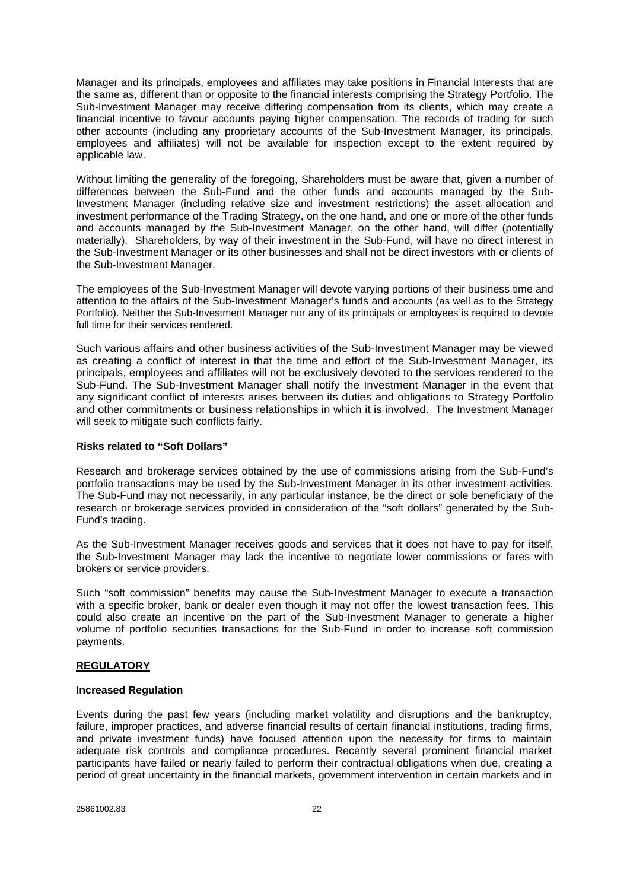Manager and its principals, employees and affiliates may take positions in Financial Interests that are the same as, different than or opposite to the financial interests comprising the Strategy Portfolio. The Sub-Investment Manager may receive differing compensation from its clients, which may create a financial incentive to favour accounts paying higher compensation. The records of trading for such other accounts (including any proprietary accounts of the Sub-Investment Manager, its principals, employees and affiliates) will not be available for inspection except to the extent required by applicable law.

Without limiting the generality of the foregoing, Shareholders must be aware that, given a number of differences between the Sub-Fund and the other funds and accounts managed by the Sub-Investment Manager (including relative size and investment restrictions) the asset allocation and investment performance of the Trading Strategy, on the one hand, and one or more of the other funds and accounts managed by the Sub-Investment Manager, on the other hand, will differ (potentially materially). Shareholders, by way of their investment in the Sub-Fund, will have no direct interest in the Sub-Investment Manager or its other businesses and shall not be direct investors with or clients of the Sub-Investment Manager.

The employees of the Sub-Investment Manager will devote varying portions of their business time and attention to the affairs of the Sub-Investment Manager's funds and accounts (as well as to the Strategy Portfolio). Neither the Sub-Investment Manager nor any of its principals or employees is required to devote full time for their services rendered.

Such various affairs and other business activities of the Sub-Investment Manager may be viewed as creating a conflict of interest in that the time and effort of the Sub-Investment Manager, its principals, employees and affiliates will not be exclusively devoted to the services rendered to the Sub-Fund. The Sub-Investment Manager shall notify the Investment Manager in the event that any significant conflict of interests arises between its duties and obligations to Strategy Portfolio and other commitments or business relationships in which it is involved. The Investment Manager will seek to mitigate such conflicts fairly.

## **Risks related to "Soft Dollars"**

Research and brokerage services obtained by the use of commissions arising from the Sub-Fund's portfolio transactions may be used by the Sub-Investment Manager in its other investment activities. The Sub-Fund may not necessarily, in any particular instance, be the direct or sole beneficiary of the research or brokerage services provided in consideration of the "soft dollars" generated by the Sub-Fund's trading.

As the Sub-Investment Manager receives goods and services that it does not have to pay for itself, the Sub-Investment Manager may lack the incentive to negotiate lower commissions or fares with brokers or service providers.

Such "soft commission" benefits may cause the Sub-Investment Manager to execute a transaction with a specific broker, bank or dealer even though it may not offer the lowest transaction fees. This could also create an incentive on the part of the Sub-Investment Manager to generate a higher volume of portfolio securities transactions for the Sub-Fund in order to increase soft commission payments.

## **REGULATORY**

## **Increased Regulation**

Events during the past few years (including market volatility and disruptions and the bankruptcy, failure, improper practices, and adverse financial results of certain financial institutions, trading firms, and private investment funds) have focused attention upon the necessity for firms to maintain adequate risk controls and compliance procedures. Recently several prominent financial market participants have failed or nearly failed to perform their contractual obligations when due, creating a period of great uncertainty in the financial markets, government intervention in certain markets and in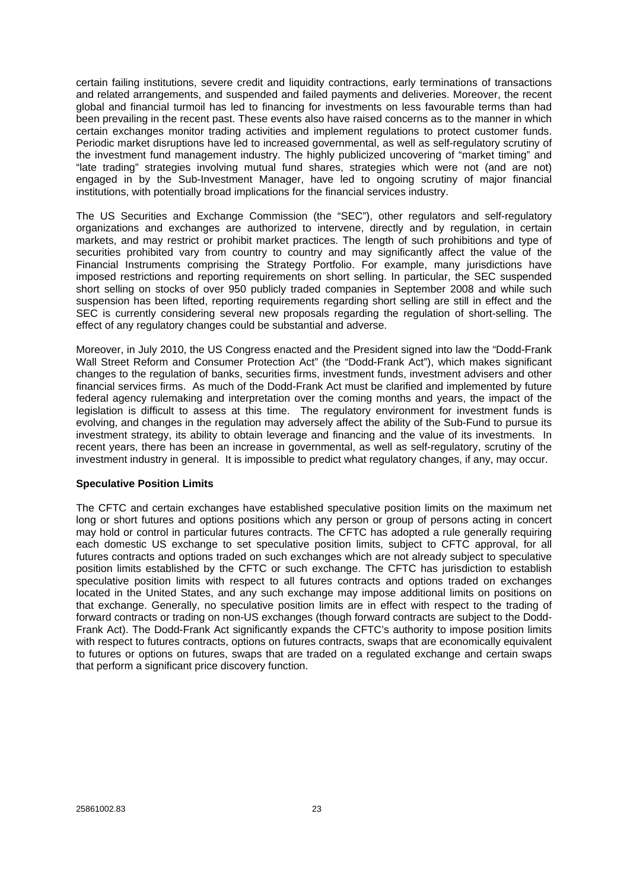certain failing institutions, severe credit and liquidity contractions, early terminations of transactions and related arrangements, and suspended and failed payments and deliveries. Moreover, the recent global and financial turmoil has led to financing for investments on less favourable terms than had been prevailing in the recent past. These events also have raised concerns as to the manner in which certain exchanges monitor trading activities and implement regulations to protect customer funds. Periodic market disruptions have led to increased governmental, as well as self-regulatory scrutiny of the investment fund management industry. The highly publicized uncovering of "market timing" and "late trading" strategies involving mutual fund shares, strategies which were not (and are not) engaged in by the Sub-Investment Manager, have led to ongoing scrutiny of major financial institutions, with potentially broad implications for the financial services industry.

The US Securities and Exchange Commission (the "SEC"), other regulators and self-regulatory organizations and exchanges are authorized to intervene, directly and by regulation, in certain markets, and may restrict or prohibit market practices. The length of such prohibitions and type of securities prohibited vary from country to country and may significantly affect the value of the Financial Instruments comprising the Strategy Portfolio. For example, many jurisdictions have imposed restrictions and reporting requirements on short selling. In particular, the SEC suspended short selling on stocks of over 950 publicly traded companies in September 2008 and while such suspension has been lifted, reporting requirements regarding short selling are still in effect and the SEC is currently considering several new proposals regarding the regulation of short-selling. The effect of any regulatory changes could be substantial and adverse.

Moreover, in July 2010, the US Congress enacted and the President signed into law the "Dodd-Frank Wall Street Reform and Consumer Protection Act" (the "Dodd-Frank Act"), which makes significant changes to the regulation of banks, securities firms, investment funds, investment advisers and other financial services firms. As much of the Dodd-Frank Act must be clarified and implemented by future federal agency rulemaking and interpretation over the coming months and years, the impact of the legislation is difficult to assess at this time. The regulatory environment for investment funds is evolving, and changes in the regulation may adversely affect the ability of the Sub-Fund to pursue its investment strategy, its ability to obtain leverage and financing and the value of its investments. In recent years, there has been an increase in governmental, as well as self-regulatory, scrutiny of the investment industry in general. It is impossible to predict what regulatory changes, if any, may occur.

#### **Speculative Position Limits**

The CFTC and certain exchanges have established speculative position limits on the maximum net long or short futures and options positions which any person or group of persons acting in concert may hold or control in particular futures contracts. The CFTC has adopted a rule generally requiring each domestic US exchange to set speculative position limits, subject to CFTC approval, for all futures contracts and options traded on such exchanges which are not already subject to speculative position limits established by the CFTC or such exchange. The CFTC has jurisdiction to establish speculative position limits with respect to all futures contracts and options traded on exchanges located in the United States, and any such exchange may impose additional limits on positions on that exchange. Generally, no speculative position limits are in effect with respect to the trading of forward contracts or trading on non-US exchanges (though forward contracts are subject to the Dodd-Frank Act). The Dodd-Frank Act significantly expands the CFTC's authority to impose position limits with respect to futures contracts, options on futures contracts, swaps that are economically equivalent to futures or options on futures, swaps that are traded on a regulated exchange and certain swaps that perform a significant price discovery function.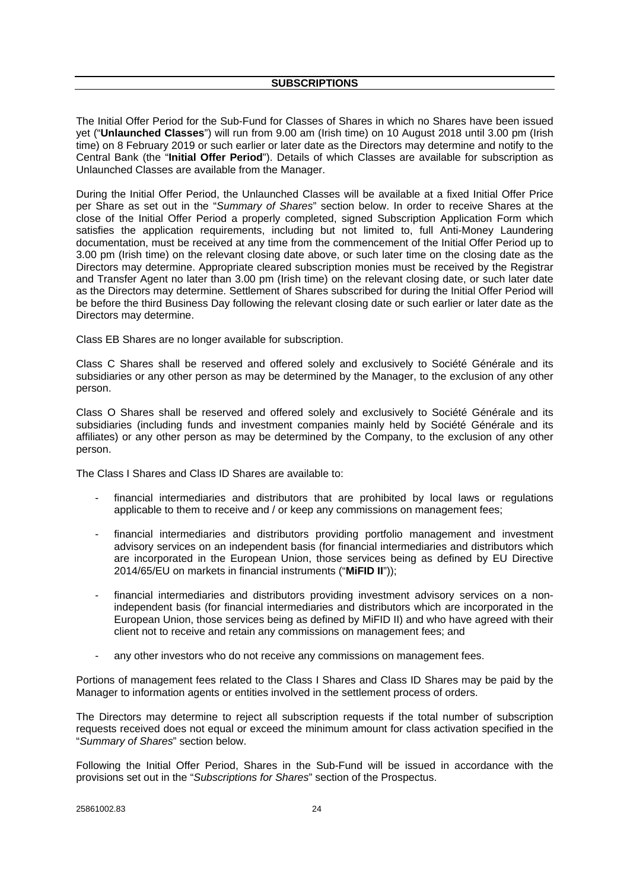The Initial Offer Period for the Sub-Fund for Classes of Shares in which no Shares have been issued yet ("**Unlaunched Classes**") will run from 9.00 am (Irish time) on 10 August 2018 until 3.00 pm (Irish time) on 8 February 2019 or such earlier or later date as the Directors may determine and notify to the Central Bank (the "**Initial Offer Period**"). Details of which Classes are available for subscription as Unlaunched Classes are available from the Manager.

During the Initial Offer Period, the Unlaunched Classes will be available at a fixed Initial Offer Price per Share as set out in the "*Summary of Shares*" section below. In order to receive Shares at the close of the Initial Offer Period a properly completed, signed Subscription Application Form which satisfies the application requirements, including but not limited to, full Anti-Money Laundering documentation, must be received at any time from the commencement of the Initial Offer Period up to 3.00 pm (Irish time) on the relevant closing date above, or such later time on the closing date as the Directors may determine. Appropriate cleared subscription monies must be received by the Registrar and Transfer Agent no later than 3.00 pm (Irish time) on the relevant closing date, or such later date as the Directors may determine. Settlement of Shares subscribed for during the Initial Offer Period will be before the third Business Day following the relevant closing date or such earlier or later date as the Directors may determine.

Class EB Shares are no longer available for subscription.

Class C Shares shall be reserved and offered solely and exclusively to Société Générale and its subsidiaries or any other person as may be determined by the Manager, to the exclusion of any other person.

Class O Shares shall be reserved and offered solely and exclusively to Société Générale and its subsidiaries (including funds and investment companies mainly held by Société Générale and its affiliates) or any other person as may be determined by the Company, to the exclusion of any other person.

The Class I Shares and Class ID Shares are available to:

- financial intermediaries and distributors that are prohibited by local laws or regulations applicable to them to receive and / or keep any commissions on management fees;
- financial intermediaries and distributors providing portfolio management and investment advisory services on an independent basis (for financial intermediaries and distributors which are incorporated in the European Union, those services being as defined by EU Directive 2014/65/EU on markets in financial instruments ("**MiFID II**"));
- financial intermediaries and distributors providing investment advisory services on a nonindependent basis (for financial intermediaries and distributors which are incorporated in the European Union, those services being as defined by MiFID II) and who have agreed with their client not to receive and retain any commissions on management fees; and
- any other investors who do not receive any commissions on management fees.

Portions of management fees related to the Class I Shares and Class ID Shares may be paid by the Manager to information agents or entities involved in the settlement process of orders.

The Directors may determine to reject all subscription requests if the total number of subscription requests received does not equal or exceed the minimum amount for class activation specified in the "*Summary of Shares*" section below.

Following the Initial Offer Period, Shares in the Sub-Fund will be issued in accordance with the provisions set out in the "*Subscriptions for Shares*" section of the Prospectus.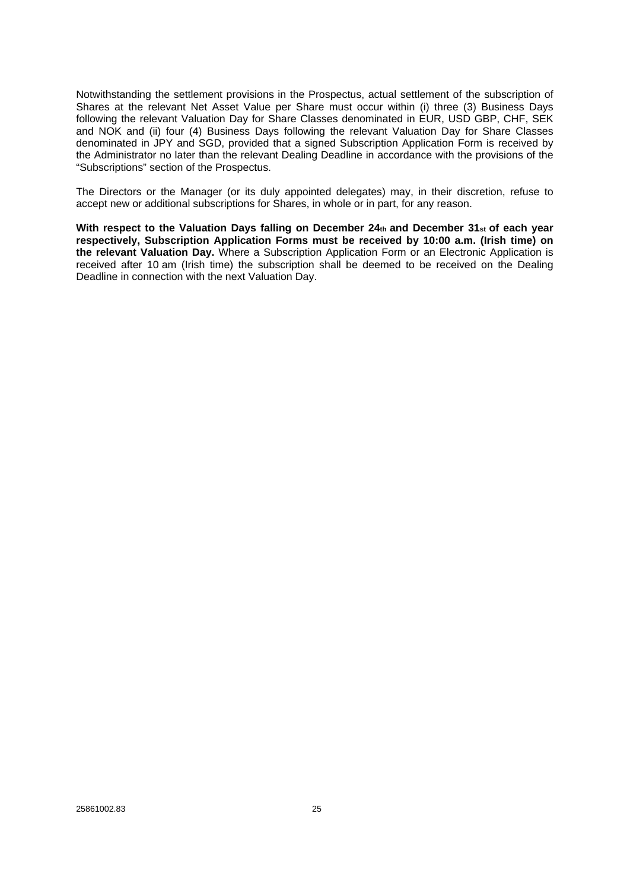Notwithstanding the settlement provisions in the Prospectus, actual settlement of the subscription of Shares at the relevant Net Asset Value per Share must occur within (i) three (3) Business Days following the relevant Valuation Day for Share Classes denominated in EUR, USD GBP, CHF, SEK and NOK and (ii) four (4) Business Days following the relevant Valuation Day for Share Classes denominated in JPY and SGD, provided that a signed Subscription Application Form is received by the Administrator no later than the relevant Dealing Deadline in accordance with the provisions of the "Subscriptions" section of the Prospectus.

The Directors or the Manager (or its duly appointed delegates) may, in their discretion, refuse to accept new or additional subscriptions for Shares, in whole or in part, for any reason.

**With respect to the Valuation Days falling on December 24th and December 31st of each year respectively, Subscription Application Forms must be received by 10:00 a.m. (Irish time) on the relevant Valuation Day.** Where a Subscription Application Form or an Electronic Application is received after 10 am (Irish time) the subscription shall be deemed to be received on the Dealing Deadline in connection with the next Valuation Day.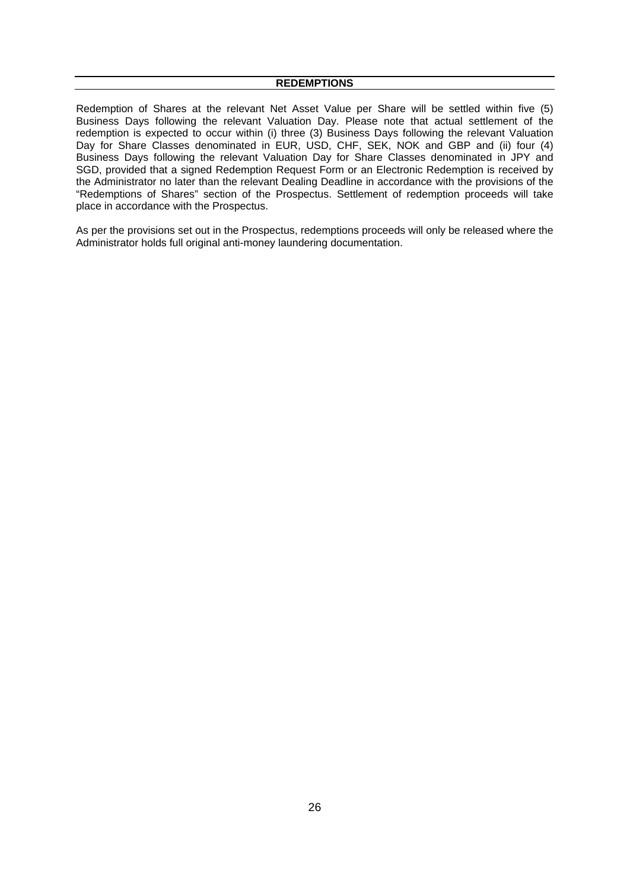Redemption of Shares at the relevant Net Asset Value per Share will be settled within five (5) Business Days following the relevant Valuation Day. Please note that actual settlement of the redemption is expected to occur within (i) three (3) Business Days following the relevant Valuation Day for Share Classes denominated in EUR, USD, CHF, SEK, NOK and GBP and (ii) four (4) Business Days following the relevant Valuation Day for Share Classes denominated in JPY and SGD, provided that a signed Redemption Request Form or an Electronic Redemption is received by the Administrator no later than the relevant Dealing Deadline in accordance with the provisions of the "Redemptions of Shares" section of the Prospectus. Settlement of redemption proceeds will take place in accordance with the Prospectus.

As per the provisions set out in the Prospectus, redemptions proceeds will only be released where the Administrator holds full original anti-money laundering documentation.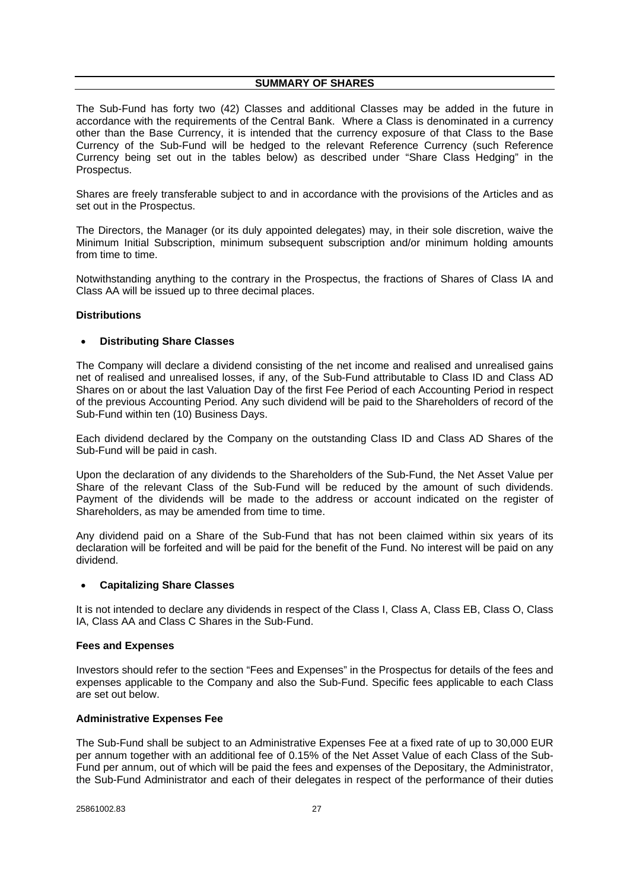#### **SUMMARY OF SHARES**

The Sub-Fund has forty two (42) Classes and additional Classes may be added in the future in accordance with the requirements of the Central Bank. Where a Class is denominated in a currency other than the Base Currency, it is intended that the currency exposure of that Class to the Base Currency of the Sub-Fund will be hedged to the relevant Reference Currency (such Reference Currency being set out in the tables below) as described under "Share Class Hedging" in the Prospectus.

Shares are freely transferable subject to and in accordance with the provisions of the Articles and as set out in the Prospectus.

The Directors, the Manager (or its duly appointed delegates) may, in their sole discretion, waive the Minimum Initial Subscription, minimum subsequent subscription and/or minimum holding amounts from time to time.

Notwithstanding anything to the contrary in the Prospectus, the fractions of Shares of Class IA and Class AA will be issued up to three decimal places.

#### **Distributions**

#### **Distributing Share Classes**

The Company will declare a dividend consisting of the net income and realised and unrealised gains net of realised and unrealised losses, if any, of the Sub-Fund attributable to Class ID and Class AD Shares on or about the last Valuation Day of the first Fee Period of each Accounting Period in respect of the previous Accounting Period. Any such dividend will be paid to the Shareholders of record of the Sub-Fund within ten (10) Business Days.

Each dividend declared by the Company on the outstanding Class ID and Class AD Shares of the Sub-Fund will be paid in cash.

Upon the declaration of any dividends to the Shareholders of the Sub-Fund, the Net Asset Value per Share of the relevant Class of the Sub-Fund will be reduced by the amount of such dividends. Payment of the dividends will be made to the address or account indicated on the register of Shareholders, as may be amended from time to time.

Any dividend paid on a Share of the Sub-Fund that has not been claimed within six years of its declaration will be forfeited and will be paid for the benefit of the Fund. No interest will be paid on any dividend.

## **Capitalizing Share Classes**

It is not intended to declare any dividends in respect of the Class I, Class A, Class EB, Class O, Class IA, Class AA and Class C Shares in the Sub-Fund.

## **Fees and Expenses**

Investors should refer to the section "Fees and Expenses" in the Prospectus for details of the fees and expenses applicable to the Company and also the Sub-Fund. Specific fees applicable to each Class are set out below.

## **Administrative Expenses Fee**

The Sub-Fund shall be subject to an Administrative Expenses Fee at a fixed rate of up to 30,000 EUR per annum together with an additional fee of 0.15% of the Net Asset Value of each Class of the Sub-Fund per annum, out of which will be paid the fees and expenses of the Depositary, the Administrator, the Sub-Fund Administrator and each of their delegates in respect of the performance of their duties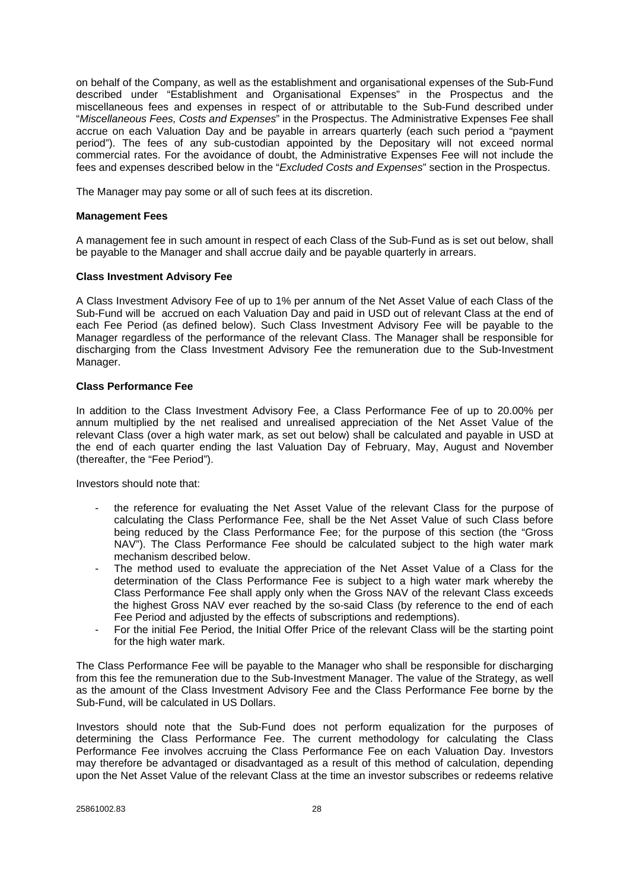on behalf of the Company, as well as the establishment and organisational expenses of the Sub-Fund described under "Establishment and Organisational Expenses" in the Prospectus and the miscellaneous fees and expenses in respect of or attributable to the Sub-Fund described under "*Miscellaneous Fees, Costs and Expenses*" in the Prospectus. The Administrative Expenses Fee shall accrue on each Valuation Day and be payable in arrears quarterly (each such period a "payment period"). The fees of any sub-custodian appointed by the Depositary will not exceed normal commercial rates. For the avoidance of doubt, the Administrative Expenses Fee will not include the fees and expenses described below in the "*Excluded Costs and Expenses*" section in the Prospectus.

The Manager may pay some or all of such fees at its discretion.

#### **Management Fees**

A management fee in such amount in respect of each Class of the Sub-Fund as is set out below, shall be payable to the Manager and shall accrue daily and be payable quarterly in arrears.

#### **Class Investment Advisory Fee**

A Class Investment Advisory Fee of up to 1% per annum of the Net Asset Value of each Class of the Sub-Fund will be accrued on each Valuation Day and paid in USD out of relevant Class at the end of each Fee Period (as defined below). Such Class Investment Advisory Fee will be payable to the Manager regardless of the performance of the relevant Class. The Manager shall be responsible for discharging from the Class Investment Advisory Fee the remuneration due to the Sub-Investment Manager.

#### **Class Performance Fee**

In addition to the Class Investment Advisory Fee, a Class Performance Fee of up to 20.00% per annum multiplied by the net realised and unrealised appreciation of the Net Asset Value of the relevant Class (over a high water mark, as set out below) shall be calculated and payable in USD at the end of each quarter ending the last Valuation Day of February, May, August and November (thereafter, the "Fee Period").

Investors should note that:

- the reference for evaluating the Net Asset Value of the relevant Class for the purpose of calculating the Class Performance Fee, shall be the Net Asset Value of such Class before being reduced by the Class Performance Fee; for the purpose of this section (the "Gross NAV"). The Class Performance Fee should be calculated subject to the high water mark mechanism described below.
- The method used to evaluate the appreciation of the Net Asset Value of a Class for the determination of the Class Performance Fee is subject to a high water mark whereby the Class Performance Fee shall apply only when the Gross NAV of the relevant Class exceeds the highest Gross NAV ever reached by the so-said Class (by reference to the end of each Fee Period and adjusted by the effects of subscriptions and redemptions).
- For the initial Fee Period, the Initial Offer Price of the relevant Class will be the starting point for the high water mark.

The Class Performance Fee will be payable to the Manager who shall be responsible for discharging from this fee the remuneration due to the Sub-Investment Manager. The value of the Strategy, as well as the amount of the Class Investment Advisory Fee and the Class Performance Fee borne by the Sub-Fund, will be calculated in US Dollars.

Investors should note that the Sub-Fund does not perform equalization for the purposes of determining the Class Performance Fee. The current methodology for calculating the Class Performance Fee involves accruing the Class Performance Fee on each Valuation Day. Investors may therefore be advantaged or disadvantaged as a result of this method of calculation, depending upon the Net Asset Value of the relevant Class at the time an investor subscribes or redeems relative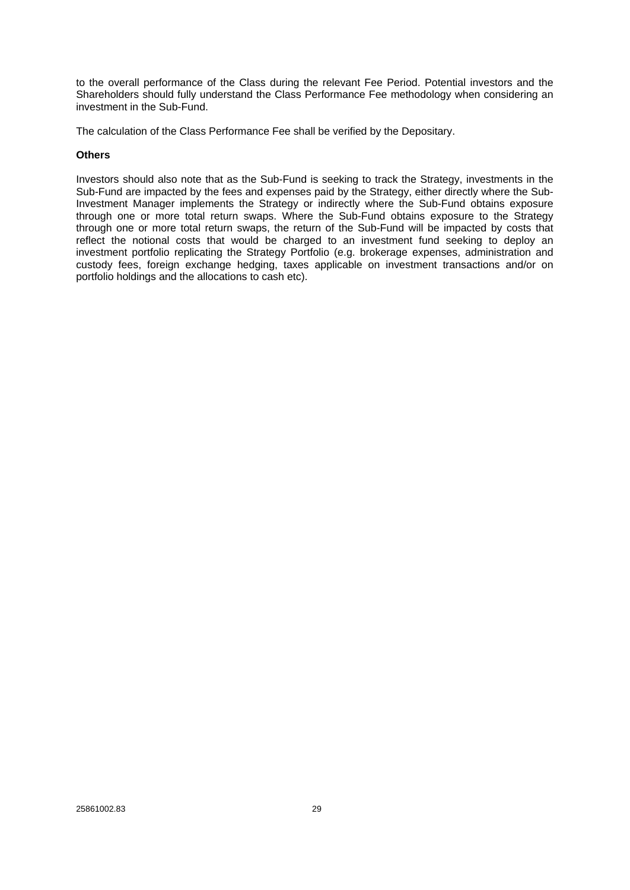to the overall performance of the Class during the relevant Fee Period. Potential investors and the Shareholders should fully understand the Class Performance Fee methodology when considering an investment in the Sub-Fund.

The calculation of the Class Performance Fee shall be verified by the Depositary.

## **Others**

Investors should also note that as the Sub-Fund is seeking to track the Strategy, investments in the Sub-Fund are impacted by the fees and expenses paid by the Strategy, either directly where the Sub-Investment Manager implements the Strategy or indirectly where the Sub-Fund obtains exposure through one or more total return swaps. Where the Sub-Fund obtains exposure to the Strategy through one or more total return swaps, the return of the Sub-Fund will be impacted by costs that reflect the notional costs that would be charged to an investment fund seeking to deploy an investment portfolio replicating the Strategy Portfolio (e.g. brokerage expenses, administration and custody fees, foreign exchange hedging, taxes applicable on investment transactions and/or on portfolio holdings and the allocations to cash etc).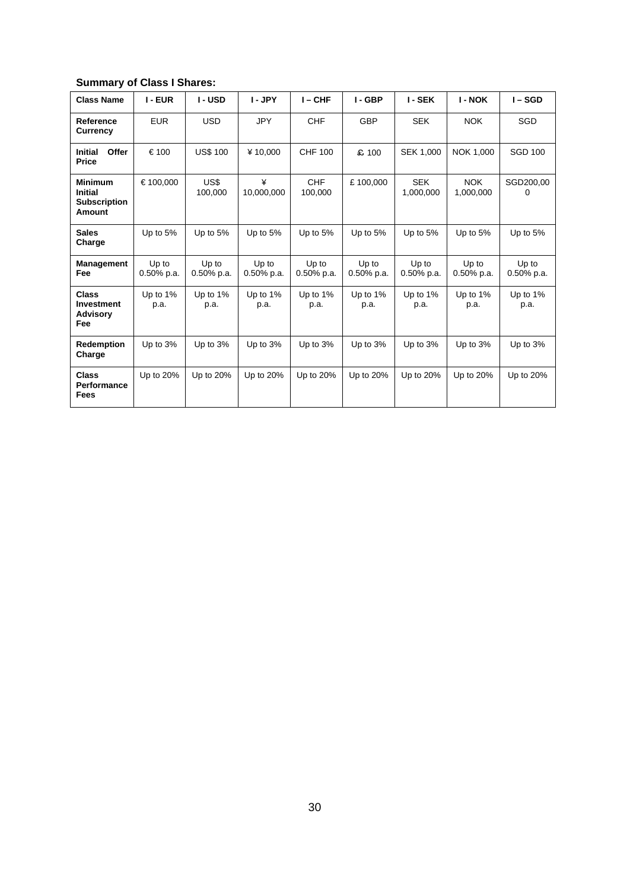# **Summary of Class I Shares:**

| <b>Class Name</b>                                                 | I - EUR                | I - USD                | I-JPY                  | $I - CHF$              | I-GBP                  | <b>I-SEK</b>            | <b>I - NOK</b>          | $I - SGD$              |
|-------------------------------------------------------------------|------------------------|------------------------|------------------------|------------------------|------------------------|-------------------------|-------------------------|------------------------|
| Reference<br><b>Currency</b>                                      | <b>EUR</b>             | <b>USD</b>             | <b>JPY</b>             | <b>CHF</b>             | <b>GBP</b>             | <b>SEK</b>              | <b>NOK</b>              | SGD                    |
| Offer<br><b>Initial</b><br>Price                                  | €100                   | <b>US\$ 100</b>        | ¥10.000                | <b>CHF 100</b>         | £ 100                  | SEK 1,000               | NOK 1,000               | <b>SGD 100</b>         |
| <b>Minimum</b><br><b>Initial</b><br><b>Subscription</b><br>Amount | €100,000               | US\$<br>100,000        | ¥<br>10,000,000        | <b>CHF</b><br>100,000  | £100,000               | <b>SEK</b><br>1,000,000 | <b>NOK</b><br>1,000,000 | SGD200,00<br>0         |
| <b>Sales</b><br>Charge                                            | Up to 5%               | Up to 5%               | Up to 5%               | Up to 5%               | Up to 5%               | Up to 5%                | Up to 5%                | Up to $5%$             |
| <b>Management</b><br>Fee                                          | Up to<br>$0.50\%$ p.a. | Up to<br>$0.50\%$ p.a. | Up to<br>$0.50\%$ p.a. | Up to<br>$0.50\%$ p.a. | Up to<br>$0.50\%$ p.a. | Up to<br>$0.50\%$ p.a.  | Up to<br>$0.50\%$ p.a.  | Up to<br>$0.50\%$ p.a. |
| <b>Class</b><br><b>Investment</b><br><b>Advisory</b><br>Fee       | Up to 1%<br>p.a.       | Up to 1%<br>p.a.       | Up to $1\%$<br>p.a.    | Up to $1\%$<br>p.a.    | Up to 1%<br>p.a.       | Up to $1\%$<br>p.a.     | Up to $1\%$<br>p.a.     | Up to 1%<br>p.a.       |
| Redemption<br>Charge                                              | Up to 3%               | Up to 3%               | Up to $3%$             | Up to $3%$             | Up to 3%               | Up to $3%$              | Up to 3%                | Up to 3%               |
| <b>Class</b><br>Performance<br>Fees                               | Up to 20%              | Up to 20%              | Up to 20%              | Up to 20%              | Up to 20%              | Up to 20%               | Up to 20%               | Up to 20%              |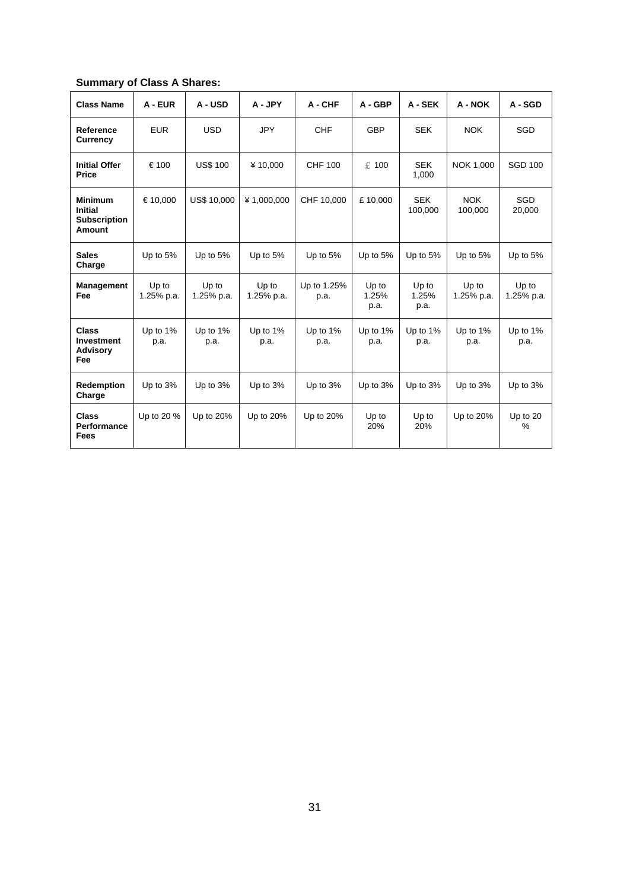# **Summary of Class A Shares:**

| <b>Class Name</b>                                                        | A - EUR             | A - USD             | A - JPY             | A - CHF             | $A - GBP$              | A - SEK                | A - NOK               | A - SGD              |
|--------------------------------------------------------------------------|---------------------|---------------------|---------------------|---------------------|------------------------|------------------------|-----------------------|----------------------|
| Reference<br><b>Currency</b>                                             | <b>EUR</b>          | <b>USD</b>          | <b>JPY</b>          | <b>CHF</b>          | <b>GBP</b>             | <b>SEK</b>             | <b>NOK</b>            | <b>SGD</b>           |
| <b>Initial Offer</b><br><b>Price</b>                                     | €100                | <b>US\$ 100</b>     | ¥10,000             | <b>CHF 100</b>      | £ 100                  | <b>SEK</b><br>1,000    | NOK 1,000             | <b>SGD 100</b>       |
| <b>Minimum</b><br><b>Initial</b><br><b>Subscription</b><br><b>Amount</b> | €10,000             | <b>US\$ 10,000</b>  | ¥1,000,000          | CHF 10,000          | £10,000                | <b>SEK</b><br>100,000  | <b>NOK</b><br>100,000 | <b>SGD</b><br>20,000 |
| <b>Sales</b><br>Charge                                                   | Up to 5%            | Up to 5%            | Up to 5%            | Up to 5%            | Up to 5%               | Up to 5%               | Up to 5%              | Up to 5%             |
| <b>Management</b><br>Fee                                                 | Up to<br>1.25% p.a. | Up to<br>1.25% p.a. | Up to<br>1.25% p.a. | Up to 1.25%<br>p.a. | Up to<br>1.25%<br>p.a. | Up to<br>1.25%<br>p.a. | Up to<br>1.25% p.a.   | Up to<br>1.25% p.a.  |
| <b>Class</b><br><b>Investment</b><br><b>Advisory</b><br>Fee              | Up to $1\%$<br>p.a. | Up to 1%<br>p.a.    | Up to 1%<br>p.a.    | Up to $1\%$<br>p.a. | Up to $1\%$<br>p.a.    | Up to $1\%$<br>p.a.    | Up to $1\%$<br>p.a.   | Up to 1%<br>p.a.     |
| Redemption<br>Charge                                                     | Up to 3%            | Up to 3%            | Up to 3%            | Up to 3%            | Up to 3%               | Up to 3%               | Up to $3%$            | Up to 3%             |
| <b>Class</b><br>Performance<br><b>Fees</b>                               | Up to 20 %          | Up to 20%           | Up to 20%           | Up to 20%           | Up to<br>20%           | Up to<br>20%           | Up to 20%             | Up to $20$<br>$\%$   |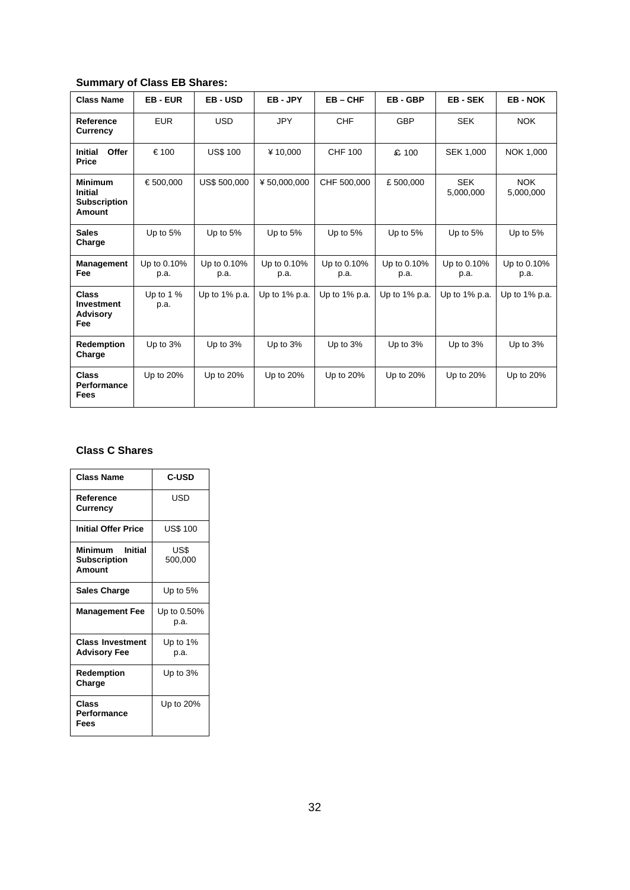# **Summary of Class EB Shares:**

| <b>Class Name</b>                                                 | <b>EB-EUR</b>       | <b>EB-USD</b>       | EB-JPY              | $EB - CHF$          | EB-GBP              | <b>EB-SEK</b>           | <b>EB-NOK</b>           |
|-------------------------------------------------------------------|---------------------|---------------------|---------------------|---------------------|---------------------|-------------------------|-------------------------|
| Reference<br><b>Currency</b>                                      | <b>EUR</b>          | <b>USD</b>          | <b>JPY</b>          | <b>CHF</b>          | <b>GBP</b>          | <b>SEK</b>              | <b>NOK</b>              |
| Offer<br><b>Initial</b><br><b>Price</b>                           | €100                | <b>US\$ 100</b>     | ¥10,000             | <b>CHF 100</b>      | £ 100               | <b>SEK 1,000</b>        | NOK 1,000               |
| <b>Minimum</b><br><b>Initial</b><br><b>Subscription</b><br>Amount | €500.000            | <b>US\$ 500,000</b> | ¥50.000.000         | CHF 500,000         | £500.000            | <b>SEK</b><br>5,000,000 | <b>NOK</b><br>5,000,000 |
| <b>Sales</b><br>Charge                                            | Up to 5%            | Up to 5%            | Up to 5%            | Up to 5%            | Up to $5%$          | Up to 5%                | Up to 5%                |
| <b>Management</b><br>Fee                                          | Up to 0.10%<br>p.a. | Up to 0.10%<br>p.a. | Up to 0.10%<br>p.a. | Up to 0.10%<br>p.a. | Up to 0.10%<br>p.a. | Up to 0.10%<br>p.a.     | Up to 0.10%<br>p.a.     |
| <b>Class</b><br><b>Investment</b><br><b>Advisory</b><br>Fee       | Up to $1%$<br>p.a.  | Up to $1\%$ p.a.    | Up to 1% p.a.       | Up to $1\%$ p.a.    | Up to $1\%$ p.a.    | Up to $1\%$ p.a.        | Up to 1% p.a.           |
| Redemption<br>Charge                                              | Up to 3%            | Up to 3%            | Up to 3%            | Up to $3%$          | Up to 3%            | Up to 3%                | Up to 3%                |
| <b>Class</b><br><b>Performance</b><br>Fees                        | Up to 20%           | Up to 20%           | Up to 20%           | Up to 20%           | Up to 20%           | Up to 20%               | Up to 20%               |

## **Class C Shares**

| <b>Class Name</b>                                | C-USD               |
|--------------------------------------------------|---------------------|
| Reference<br>Currency                            | USD                 |
| <b>Initial Offer Price</b>                       | US\$ 100            |
| Minimum Initial<br><b>Subscription</b><br>Amount | US\$<br>500,000     |
| <b>Sales Charge</b>                              | Up to 5%            |
| <b>Management Fee</b>                            | Up to 0.50%<br>p.a. |
| <b>Class Investment</b><br><b>Advisory Fee</b>   | Up to 1%<br>p.a.    |
| Redemption<br>Charge                             | Up to $3\%$         |
| Class<br>Performance<br>Fees                     | Up to 20%           |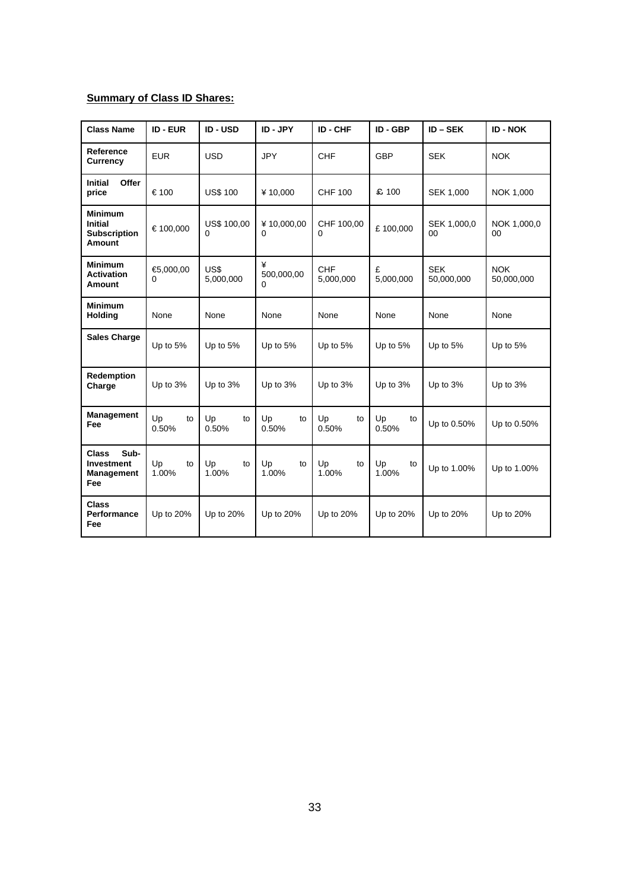## **Summary of Class ID Shares:**

| <b>Class Name</b>                                                        | <b>ID-EUR</b>     | <b>ID-USD</b>                  | ID - JPY               | ID - CHF                | ID - GBP          | $ID - SEK$               | <b>ID - NOK</b>          |
|--------------------------------------------------------------------------|-------------------|--------------------------------|------------------------|-------------------------|-------------------|--------------------------|--------------------------|
| Reference<br><b>Currency</b>                                             | <b>EUR</b>        | <b>USD</b>                     | <b>JPY</b>             | <b>CHF</b>              | <b>GBP</b>        | <b>SEK</b>               | <b>NOK</b>               |
| <b>Initial</b><br><b>Offer</b><br>price                                  | €100              | <b>US\$ 100</b>                | ¥10,000                | <b>CHF 100</b>          | £ 100             | <b>SEK 1,000</b>         | NOK 1,000                |
| <b>Minimum</b><br><b>Initial</b><br><b>Subscription</b><br><b>Amount</b> | €100,000          | <b>US\$ 100,00</b><br>$\Omega$ | ¥10,000,00<br>$\Omega$ | CHF 100,00<br>0         | £100,000          | SEK 1,000,0<br>00        | NOK 1,000,0<br>00        |
| <b>Minimum</b><br><b>Activation</b><br>Amount                            | €5,000,00<br>0    | US\$<br>5,000,000              | ¥<br>500,000,00<br>0   | <b>CHF</b><br>5,000,000 | £<br>5,000,000    | <b>SEK</b><br>50,000,000 | <b>NOK</b><br>50,000,000 |
| <b>Minimum</b><br>Holding                                                | None              | None                           | None                   | None                    | None              | None                     | None                     |
| <b>Sales Charge</b>                                                      | Up to 5%          | Up to 5%                       | Up to $5%$             | Up to $5%$              | Up to 5%          | Up to $5%$               | Up to 5%                 |
| Redemption<br>Charge                                                     | Up to 3%          | Up to 3%                       | Up to 3%               | Up to 3%                | Up to 3%          | Up to 3%                 | Up to 3%                 |
| Management<br>Fee                                                        | Up<br>to<br>0.50% | Up<br>to<br>0.50%              | Up<br>to<br>0.50%      | Up<br>to<br>0.50%       | Up<br>to<br>0.50% | Up to 0.50%              | Up to 0.50%              |
| Sub-<br><b>Class</b><br><b>Investment</b><br>Management<br>Fee           | Up<br>to<br>1.00% | Up<br>to<br>1.00%              | Up<br>to<br>1.00%      | Up<br>to<br>1.00%       | Up<br>to<br>1.00% | Up to 1.00%              | Up to 1.00%              |
| <b>Class</b><br>Performance<br>Fee                                       | Up to 20%         | Up to 20%                      | Up to 20%              | Up to 20%               | Up to 20%         | Up to 20%                | Up to 20%                |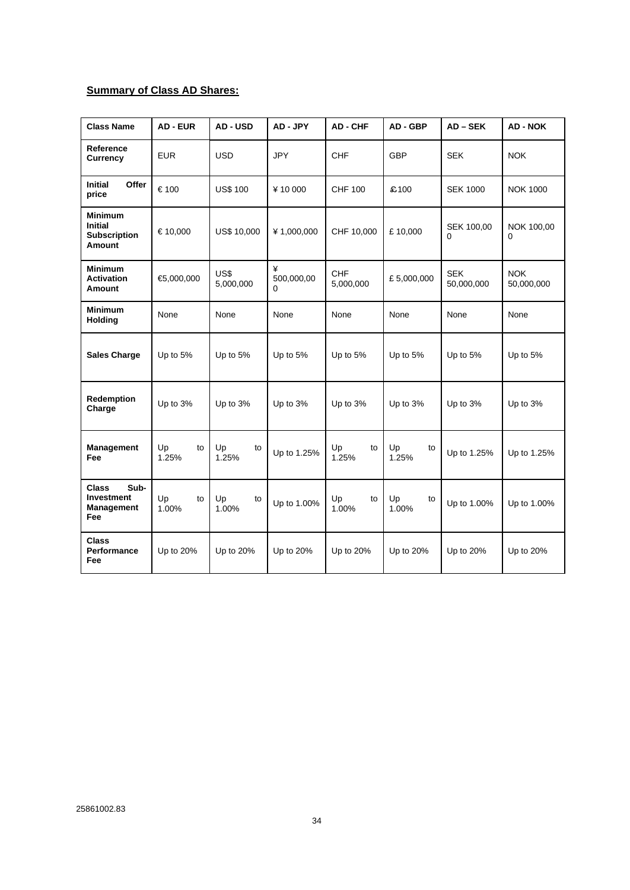## **Summary of Class AD Shares:**

| <b>Class Name</b>                                                     | <b>AD - EUR</b>   | AD - USD           | AD - JPY             | <b>AD-CHF</b>     | AD - GBP          | AD-SEK                   | <b>AD - NOK</b>          |
|-----------------------------------------------------------------------|-------------------|--------------------|----------------------|-------------------|-------------------|--------------------------|--------------------------|
| Reference<br><b>Currency</b>                                          | <b>EUR</b>        | <b>USD</b>         | <b>JPY</b>           | <b>CHF</b>        | GBP               | <b>SEK</b>               | <b>NOK</b>               |
| Initial<br>Offer<br>price                                             | €100              | <b>US\$ 100</b>    | ¥10000               | <b>CHF 100</b>    | £100              | <b>SEK 1000</b>          | <b>NOK 1000</b>          |
| <b>Minimum</b><br><b>Initial</b><br><b>Subscription</b><br>Amount     | €10,000           | <b>US\$ 10,000</b> | ¥1,000,000           | CHF 10,000        | £10,000           | SEK 100,00<br>0          | NOK 100,00<br>$\Omega$   |
| <b>Minimum</b><br><b>Activation</b><br>Amount                         | €5,000,000        | US\$<br>5,000,000  | ¥<br>500,000,00<br>0 | CHF<br>5,000,000  | £5,000,000        | <b>SEK</b><br>50,000,000 | <b>NOK</b><br>50,000,000 |
| <b>Minimum</b><br><b>Holding</b>                                      | None              | None               | None                 | None              | None              | None                     | None                     |
| <b>Sales Charge</b>                                                   | Up to 5%          | Up to 5%           | Up to 5%             | Up to 5%          | Up to 5%          | Up to 5%                 | Up to 5%                 |
| Redemption<br>Charge                                                  | Up to 3%          | Up to 3%           | Up to 3%             | Up to 3%          | Up to 3%          | Up to 3%                 | Up to 3%                 |
| <b>Management</b><br>Fee                                              | Up<br>to<br>1.25% | Up<br>to<br>1.25%  | Up to 1.25%          | Up<br>to<br>1.25% | Up<br>to<br>1.25% | Up to 1.25%              | Up to 1.25%              |
| Sub-<br><b>Class</b><br><b>Investment</b><br><b>Management</b><br>Fee | Up<br>to<br>1.00% | Up<br>to<br>1.00%  | Up to 1.00%          | Up<br>to<br>1.00% | Up<br>to<br>1.00% | Up to 1.00%              | Up to 1.00%              |
| <b>Class</b><br>Performance<br>Fee                                    | Up to 20%         | Up to 20%          | Up to 20%            | Up to 20%         | Up to 20%         | Up to 20%                | Up to 20%                |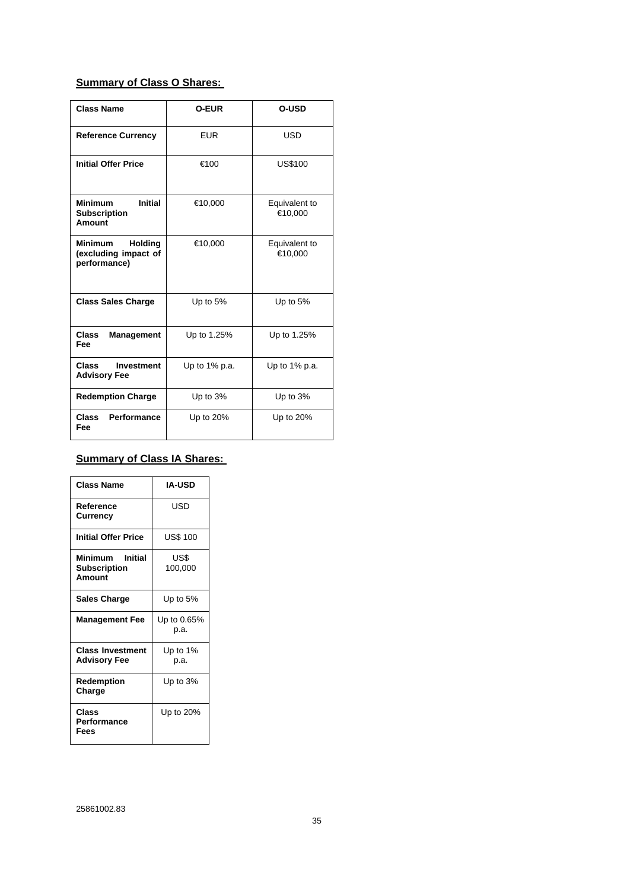## **Summary of Class O Shares:**

| <b>Class Name</b>                                                 | <b>O-EUR</b>  | <b>O-USD</b>             |  |
|-------------------------------------------------------------------|---------------|--------------------------|--|
| <b>Reference Currency</b>                                         | <b>EUR</b>    | USD                      |  |
| <b>Initial Offer Price</b>                                        | €100          | <b>US\$100</b>           |  |
| <b>Initial</b><br><b>Minimum</b><br><b>Subscription</b><br>Amount | €10,000       | Equivalent to<br>€10,000 |  |
| <b>Holding</b><br>Minimum<br>(excluding impact of<br>performance) | €10,000       | Equivalent to<br>€10,000 |  |
| <b>Class Sales Charge</b>                                         | Up to $5%$    | Up to $5%$               |  |
| <b>Class</b><br><b>Management</b><br>Fee                          | Up to 1.25%   | Up to 1.25%              |  |
| <b>Class</b><br><b>Investment</b><br><b>Advisory Fee</b>          | Up to 1% p.a. | Up to $1\%$ p.a.         |  |
| <b>Redemption Charge</b>                                          | Up to 3%      | Up to 3%                 |  |
| Performance<br><b>Class</b><br>Fee                                | Up to 20%     | Up to 20%                |  |

# **Summary of Class IA Shares:**

| <b>Class Name</b>                                   | <b>IA-USD</b>       |
|-----------------------------------------------------|---------------------|
| Reference<br>Currency                               | USD                 |
| Initial Offer Price                                 | <b>US\$ 100</b>     |
| Minimum<br>Initial<br><b>Subscription</b><br>Amount | US\$<br>100,000     |
| <b>Sales Charge</b>                                 | Up to 5%            |
| <b>Management Fee</b>                               | Up to 0.65%<br>p.a. |
| <b>Class Investment</b><br><b>Advisory Fee</b>      | Up to $1\%$<br>р.а. |
| Redemption<br>Charge                                | Up to $3%$          |
| Class<br>Performance<br>Fees                        | Up to 20%           |